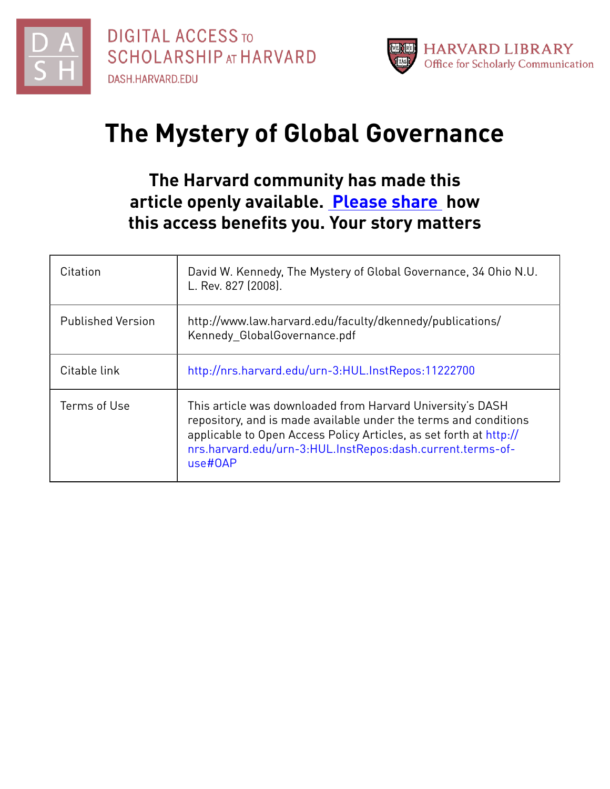



# **The Mystery of Global Governance**

### **The Harvard community has made this article openly available. [Please](http://osc.hul.harvard.edu/dash/open-access-feedback?handle=&title=The%20Mystery%20of%20Global%20Governance&community=1/7&collection=1/8&owningCollection1/8&harvardAuthors=48fb8415a3071b3e5861521980e77caf&department) share how this access benefits you. Your story matters**

| Citation                 | David W. Kennedy, The Mystery of Global Governance, 34 Ohio N.U.<br>L. Rev. 827 (2008).                                                                                                                                                                                       |
|--------------------------|-------------------------------------------------------------------------------------------------------------------------------------------------------------------------------------------------------------------------------------------------------------------------------|
| <b>Published Version</b> | http://www.law.harvard.edu/faculty/dkennedy/publications/<br>Kennedy GlobalGovernance.pdf                                                                                                                                                                                     |
| Citable link             | http://nrs.harvard.edu/urn-3:HUL.InstRepos:11222700                                                                                                                                                                                                                           |
| Terms of Use             | This article was downloaded from Harvard University's DASH<br>repository, and is made available under the terms and conditions<br>applicable to Open Access Policy Articles, as set forth at http://<br>nrs.harvard.edu/urn-3:HUL.InstRepos:dash.current.terms-of-<br>use#OAP |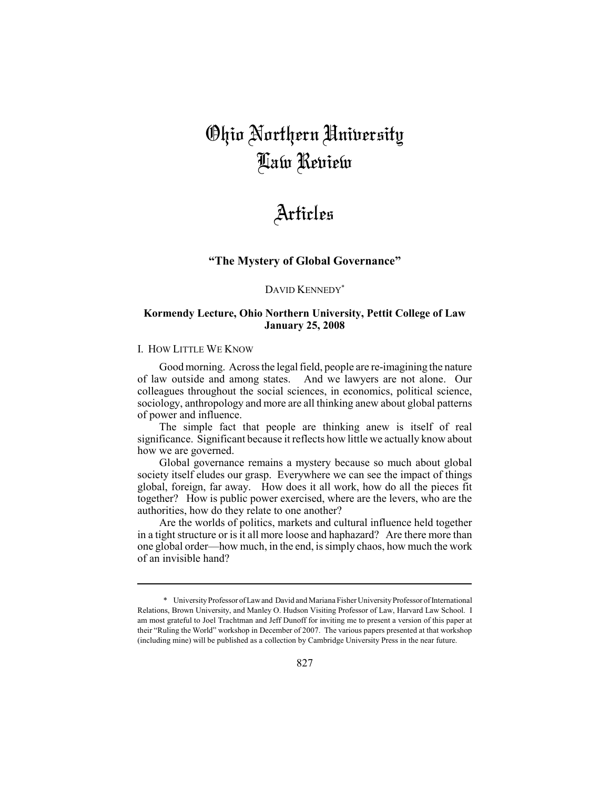# Ohio Northern University Law Review

## Articles

#### **"The Mystery of Global Governance"**

#### DAVID KENNEDY\*

#### **Kormendy Lecture, Ohio Northern University, Pettit College of Law January 25, 2008**

#### I. HOW LITTLE WE KNOW

Good morning. Across the legal field, people are re-imagining the nature of law outside and among states. And we lawyers are not alone. Our colleagues throughout the social sciences, in economics, political science, sociology, anthropology and more are all thinking anew about global patterns of power and influence.

The simple fact that people are thinking anew is itself of real significance. Significant because it reflects how little we actually know about how we are governed.

Global governance remains a mystery because so much about global society itself eludes our grasp. Everywhere we can see the impact of things global, foreign, far away. How does it all work, how do all the pieces fit together? How is public power exercised, where are the levers, who are the authorities, how do they relate to one another?

Are the worlds of politics, markets and cultural influence held together in a tight structure or is it all more loose and haphazard? Are there more than one global order—how much, in the end, is simply chaos, how much the work of an invisible hand?

<sup>\*</sup> University Professor of Law and David and Mariana Fisher University Professor of International Relations, Brown University, and Manley O. Hudson Visiting Professor of Law, Harvard Law School. I am most grateful to Joel Trachtman and Jeff Dunoff for inviting me to present a version of this paper at their "Ruling the World" workshop in December of 2007. The various papers presented at that workshop (including mine) will be published as a collection by Cambridge University Press in the near future.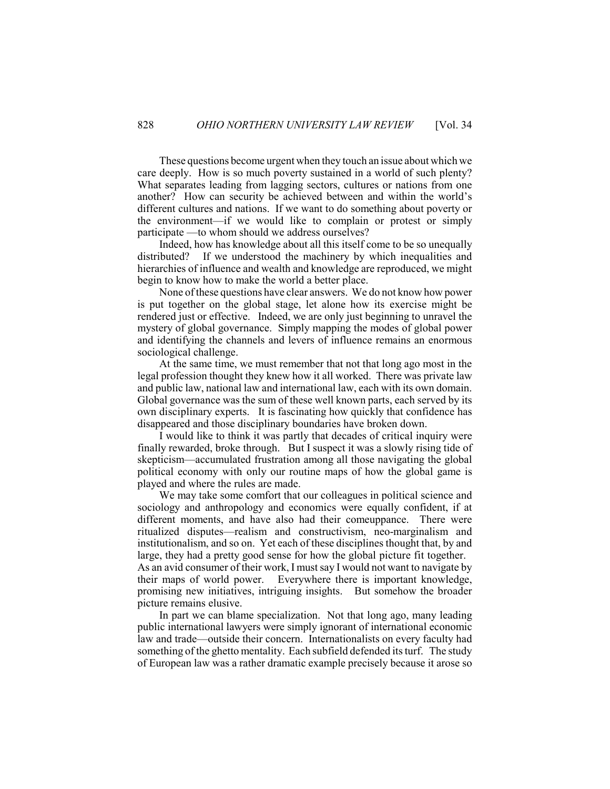These questions become urgent when they touch an issue about which we care deeply. How is so much poverty sustained in a world of such plenty? What separates leading from lagging sectors, cultures or nations from one another? How can security be achieved between and within the world's different cultures and nations. If we want to do something about poverty or the environment—if we would like to complain or protest or simply participate —to whom should we address ourselves?

Indeed, how has knowledge about all this itself come to be so unequally distributed? If we understood the machinery by which inequalities and hierarchies of influence and wealth and knowledge are reproduced, we might begin to know how to make the world a better place.

None of these questions have clear answers. We do not know how power is put together on the global stage, let alone how its exercise might be rendered just or effective. Indeed, we are only just beginning to unravel the mystery of global governance. Simply mapping the modes of global power and identifying the channels and levers of influence remains an enormous sociological challenge.

At the same time, we must remember that not that long ago most in the legal profession thought they knew how it all worked. There was private law and public law, national law and international law, each with its own domain. Global governance was the sum of these well known parts, each served by its own disciplinary experts. It is fascinating how quickly that confidence has disappeared and those disciplinary boundaries have broken down.

I would like to think it was partly that decades of critical inquiry were finally rewarded, broke through. But I suspect it was a slowly rising tide of skepticism—accumulated frustration among all those navigating the global political economy with only our routine maps of how the global game is played and where the rules are made.

We may take some comfort that our colleagues in political science and sociology and anthropology and economics were equally confident, if at different moments, and have also had their comeuppance. There were ritualized disputes—realism and constructivism, neo-marginalism and institutionalism, and so on. Yet each of these disciplines thought that, by and large, they had a pretty good sense for how the global picture fit together.

As an avid consumer of their work, I must say I would not want to navigate by their maps of world power. Everywhere there is important knowledge, promising new initiatives, intriguing insights. But somehow the broader picture remains elusive.

In part we can blame specialization. Not that long ago, many leading public international lawyers were simply ignorant of international economic law and trade—outside their concern. Internationalists on every faculty had something of the ghetto mentality. Each subfield defended its turf. The study of European law was a rather dramatic example precisely because it arose so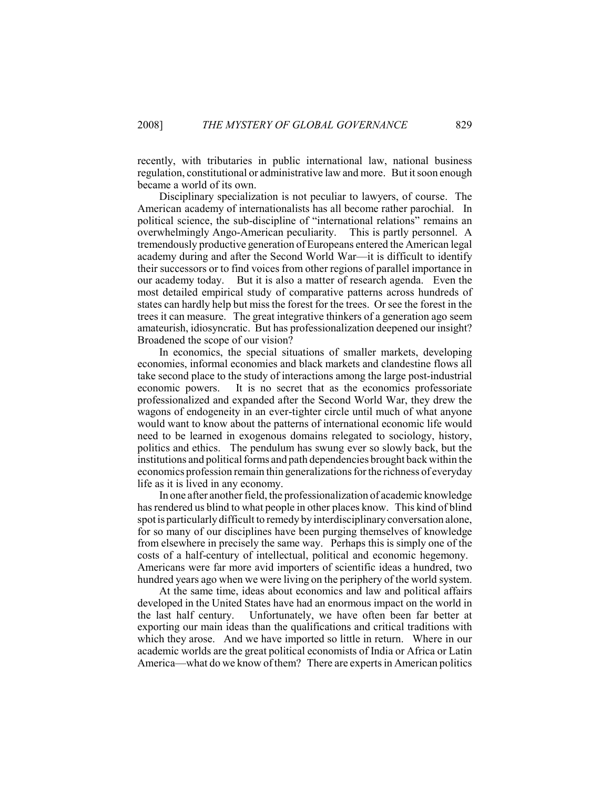recently, with tributaries in public international law, national business regulation, constitutional or administrative law and more. But it soon enough became a world of its own.

Disciplinary specialization is not peculiar to lawyers, of course. The American academy of internationalists has all become rather parochial. In political science, the sub-discipline of "international relations" remains an overwhelmingly Ango-American peculiarity. This is partly personnel. A tremendously productive generation of Europeans entered the American legal academy during and after the Second World War—it is difficult to identify their successors or to find voices from other regions of parallel importance in our academy today. But it is also a matter of research agenda. Even the most detailed empirical study of comparative patterns across hundreds of states can hardly help but miss the forest for the trees. Or see the forest in the trees it can measure. The great integrative thinkers of a generation ago seem amateurish, idiosyncratic. But has professionalization deepened our insight? Broadened the scope of our vision?

In economics, the special situations of smaller markets, developing economies, informal economies and black markets and clandestine flows all take second place to the study of interactions among the large post-industrial economic powers. It is no secret that as the economics professoriate professionalized and expanded after the Second World War, they drew the wagons of endogeneity in an ever-tighter circle until much of what anyone would want to know about the patterns of international economic life would need to be learned in exogenous domains relegated to sociology, history, politics and ethics. The pendulum has swung ever so slowly back, but the institutions and political forms and path dependencies brought back within the economics profession remain thin generalizations for the richness of everyday life as it is lived in any economy.

In one after another field, the professionalization of academic knowledge has rendered us blind to what people in other places know. This kind of blind spot is particularly difficult to remedy by interdisciplinary conversation alone, for so many of our disciplines have been purging themselves of knowledge from elsewhere in precisely the same way. Perhaps this is simply one of the costs of a half-century of intellectual, political and economic hegemony. Americans were far more avid importers of scientific ideas a hundred, two hundred years ago when we were living on the periphery of the world system.

At the same time, ideas about economics and law and political affairs developed in the United States have had an enormous impact on the world in the last half century. Unfortunately, we have often been far better at exporting our main ideas than the qualifications and critical traditions with which they arose. And we have imported so little in return. Where in our academic worlds are the great political economists of India or Africa or Latin America—what do we know of them? There are experts in American politics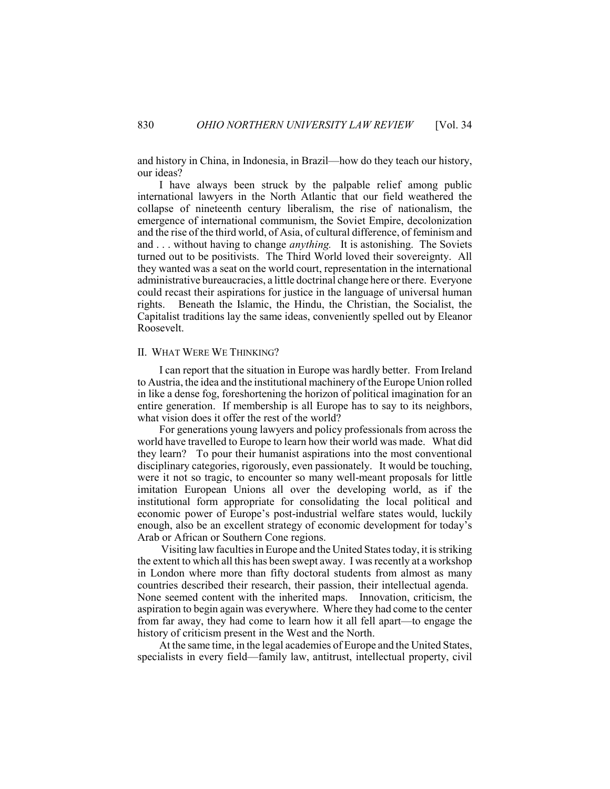and history in China, in Indonesia, in Brazil—how do they teach our history, our ideas?

I have always been struck by the palpable relief among public international lawyers in the North Atlantic that our field weathered the collapse of nineteenth century liberalism, the rise of nationalism, the emergence of international communism, the Soviet Empire, decolonization and the rise of the third world, of Asia, of cultural difference, of feminism and and . . . without having to change *anything.* It is astonishing. The Soviets turned out to be positivists. The Third World loved their sovereignty. All they wanted was a seat on the world court, representation in the international administrative bureaucracies, a little doctrinal change here or there. Everyone could recast their aspirations for justice in the language of universal human rights. Beneath the Islamic, the Hindu, the Christian, the Socialist, the Capitalist traditions lay the same ideas, conveniently spelled out by Eleanor Roosevelt.

#### II. WHAT WERE WE THINKING?

I can report that the situation in Europe was hardly better. From Ireland to Austria, the idea and the institutional machinery of the Europe Union rolled in like a dense fog, foreshortening the horizon of political imagination for an entire generation. If membership is all Europe has to say to its neighbors, what vision does it offer the rest of the world?

For generations young lawyers and policy professionals from across the world have travelled to Europe to learn how their world was made. What did they learn? To pour their humanist aspirations into the most conventional disciplinary categories, rigorously, even passionately. It would be touching, were it not so tragic, to encounter so many well-meant proposals for little imitation European Unions all over the developing world, as if the institutional form appropriate for consolidating the local political and economic power of Europe's post-industrial welfare states would, luckily enough, also be an excellent strategy of economic development for today's Arab or African or Southern Cone regions.

 Visiting law faculties in Europe and the United States today, it is striking the extent to which all this has been swept away. I was recently at a workshop in London where more than fifty doctoral students from almost as many countries described their research, their passion, their intellectual agenda. None seemed content with the inherited maps. Innovation, criticism, the aspiration to begin again was everywhere. Where they had come to the center from far away, they had come to learn how it all fell apart—to engage the history of criticism present in the West and the North.

At the same time, in the legal academies of Europe and the United States, specialists in every field—family law, antitrust, intellectual property, civil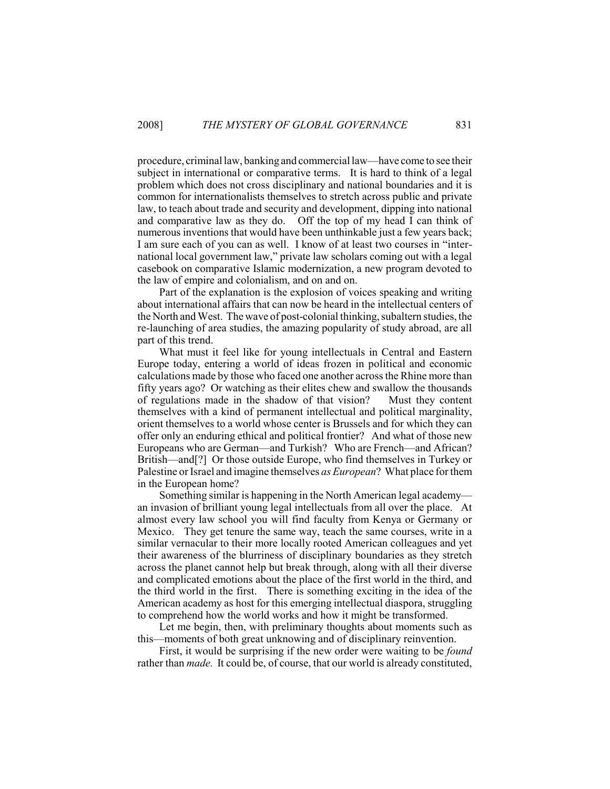procedure, criminal law, banking and commercial law—have come to see their subject in international or comparative terms. It is hard to think of a legal problem which does not cross disciplinary and national boundaries and it is common for internationalists themselves to stretch across public and private law, to teach about trade and security and development, dipping into national and comparative law as they do. Off the top of my head I can think of numerous inventions that would have been unthinkable just a few years back; I am sure each of you can as well. I know of at least two courses in "international local government law," private law scholars coming out with a legal casebook on comparative Islamic modernization, a new program devoted to the law of empire and colonialism, and on and on.

Part of the explanation is the explosion of voices speaking and writing about international affairs that can now be heard in the intellectual centers of the North and West. The wave of post-colonial thinking, subaltern studies, the re-launching of area studies, the amazing popularity of study abroad, are all part of this trend.

What must it feel like for young intellectuals in Central and Eastern Europe today, entering a world of ideas frozen in political and economic calculations made by those who faced one another across the Rhine more than fifty years ago? Or watching as their elites chew and swallow the thousands of regulations made in the shadow of that vision? Must they content themselves with a kind of permanent intellectual and political marginality, orient themselves to a world whose center is Brussels and for which they can offer only an enduring ethical and political frontier? And what of those new Europeans who are German—and Turkish? Who are French—and African? British—and[?] Or those outside Europe, who find themselves in Turkey or Palestine or Israel and imagine themselves *as European*?What place for them in the European home?

Something similar is happening in the North American legal academy an invasion of brilliant young legal intellectuals from all over the place. At almost every law school you will find faculty from Kenya or Germany or Mexico. They get tenure the same way, teach the same courses, write in a similar vernacular to their more locally rooted American colleagues and yet their awareness of the blurriness of disciplinary boundaries as they stretch across the planet cannot help but break through, along with all their diverse and complicated emotions about the place of the first world in the third, and the third world in the first. There is something exciting in the idea of the American academy as host for this emerging intellectual diaspora, struggling to comprehend how the world works and how it might be transformed.

Let me begin, then, with preliminary thoughts about moments such as this—moments of both great unknowing and of disciplinary reinvention.

First, it would be surprising if the new order were waiting to be *found* rather than *made.* It could be, of course, that our world is already constituted,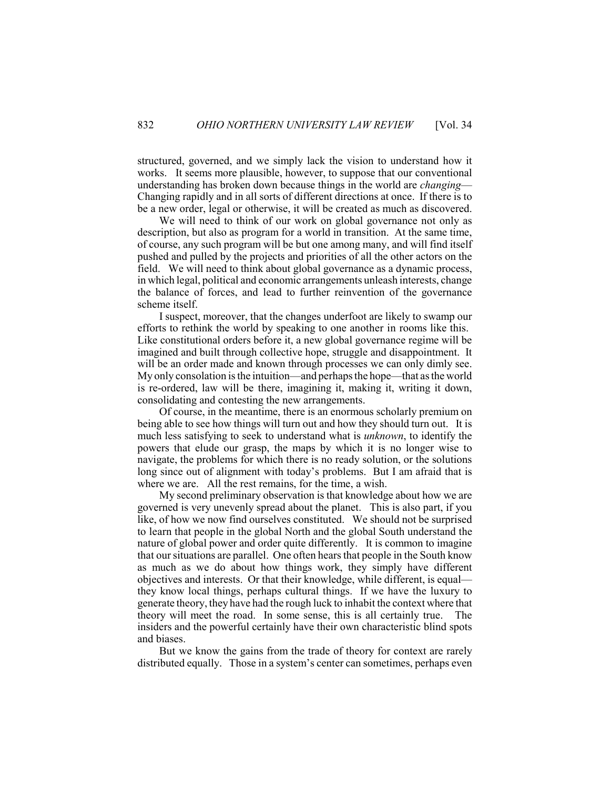structured, governed, and we simply lack the vision to understand how it works. It seems more plausible, however, to suppose that our conventional understanding has broken down because things in the world are *changing*— Changing rapidly and in all sorts of different directions at once. If there is to be a new order, legal or otherwise, it will be created as much as discovered.

We will need to think of our work on global governance not only as description, but also as program for a world in transition. At the same time, of course, any such program will be but one among many, and will find itself pushed and pulled by the projects and priorities of all the other actors on the field. We will need to think about global governance as a dynamic process, in which legal, political and economic arrangements unleash interests, change the balance of forces, and lead to further reinvention of the governance scheme itself.

I suspect, moreover, that the changes underfoot are likely to swamp our efforts to rethink the world by speaking to one another in rooms like this. Like constitutional orders before it, a new global governance regime will be imagined and built through collective hope, struggle and disappointment. It will be an order made and known through processes we can only dimly see. My only consolation is the intuition—and perhaps the hope—that as the world is re-ordered, law will be there, imagining it, making it, writing it down, consolidating and contesting the new arrangements.

Of course, in the meantime, there is an enormous scholarly premium on being able to see how things will turn out and how they should turn out. It is much less satisfying to seek to understand what is *unknown*, to identify the powers that elude our grasp, the maps by which it is no longer wise to navigate, the problems for which there is no ready solution, or the solutions long since out of alignment with today's problems. But I am afraid that is where we are. All the rest remains, for the time, a wish.

My second preliminary observation is that knowledge about how we are governed is very unevenly spread about the planet. This is also part, if you like, of how we now find ourselves constituted. We should not be surprised to learn that people in the global North and the global South understand the nature of global power and order quite differently. It is common to imagine that our situations are parallel. One often hears that people in the South know as much as we do about how things work, they simply have different objectives and interests. Or that their knowledge, while different, is equal they know local things, perhaps cultural things. If we have the luxury to generate theory, they have had the rough luck to inhabit the context where that theory will meet the road. In some sense, this is all certainly true. The insiders and the powerful certainly have their own characteristic blind spots and biases.

But we know the gains from the trade of theory for context are rarely distributed equally. Those in a system's center can sometimes, perhaps even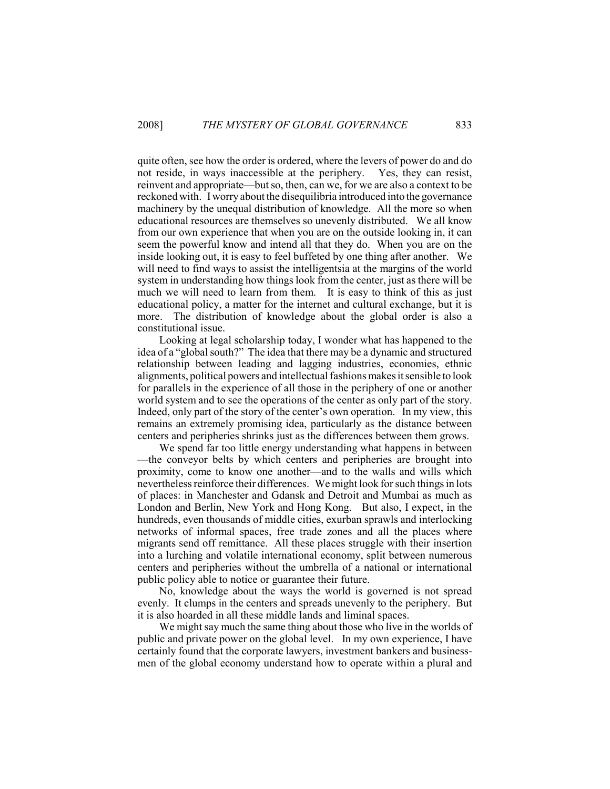quite often, see how the order is ordered, where the levers of power do and do not reside, in ways inaccessible at the periphery. Yes, they can resist, reinvent and appropriate—but so, then, can we, for we are also a context to be reckoned with. I worry about the disequilibria introduced into the governance machinery by the unequal distribution of knowledge. All the more so when educational resources are themselves so unevenly distributed. We all know from our own experience that when you are on the outside looking in, it can seem the powerful know and intend all that they do. When you are on the inside looking out, it is easy to feel buffeted by one thing after another. We will need to find ways to assist the intelligentsia at the margins of the world system in understanding how things look from the center, just as there will be much we will need to learn from them. It is easy to think of this as just educational policy, a matter for the internet and cultural exchange, but it is more. The distribution of knowledge about the global order is also a constitutional issue.

Looking at legal scholarship today, I wonder what has happened to the idea of a "global south?" The idea that there may be a dynamic and structured relationship between leading and lagging industries, economies, ethnic alignments, political powers and intellectual fashions makes it sensible to look for parallels in the experience of all those in the periphery of one or another world system and to see the operations of the center as only part of the story. Indeed, only part of the story of the center's own operation. In my view, this remains an extremely promising idea, particularly as the distance between centers and peripheries shrinks just as the differences between them grows.

We spend far too little energy understanding what happens in between —the conveyor belts by which centers and peripheries are brought into proximity, come to know one another—and to the walls and wills which nevertheless reinforce their differences. We might look for such things in lots of places: in Manchester and Gdansk and Detroit and Mumbai as much as London and Berlin, New York and Hong Kong. But also, I expect, in the hundreds, even thousands of middle cities, exurban sprawls and interlocking networks of informal spaces, free trade zones and all the places where migrants send off remittance. All these places struggle with their insertion into a lurching and volatile international economy, split between numerous centers and peripheries without the umbrella of a national or international public policy able to notice or guarantee their future.

No, knowledge about the ways the world is governed is not spread evenly. It clumps in the centers and spreads unevenly to the periphery. But it is also hoarded in all these middle lands and liminal spaces.

We might say much the same thing about those who live in the worlds of public and private power on the global level. In my own experience, I have certainly found that the corporate lawyers, investment bankers and businessmen of the global economy understand how to operate within a plural and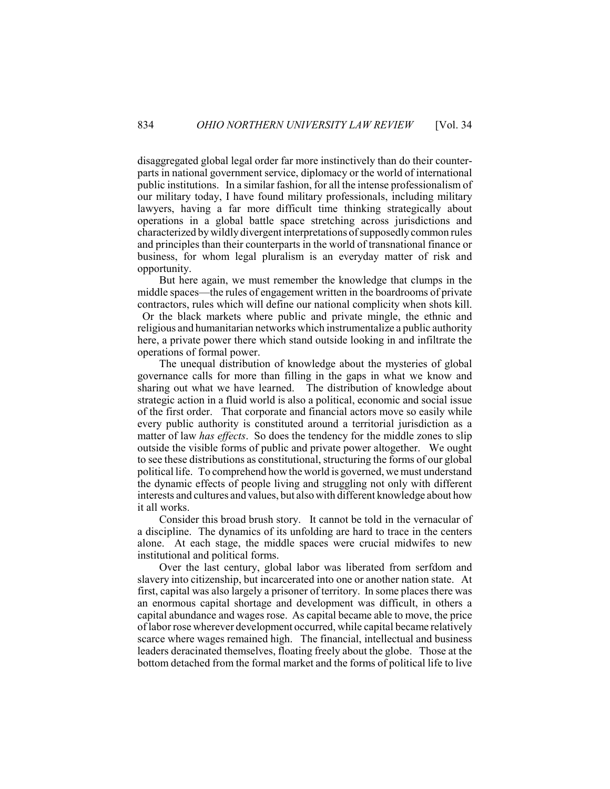disaggregated global legal order far more instinctively than do their counterparts in national government service, diplomacy or the world of international public institutions. In a similar fashion, for all the intense professionalism of our military today, I have found military professionals, including military lawyers, having a far more difficult time thinking strategically about operations in a global battle space stretching across jurisdictions and characterized by wildly divergent interpretations of supposedly common rules and principles than their counterparts in the world of transnational finance or business, for whom legal pluralism is an everyday matter of risk and opportunity.

But here again, we must remember the knowledge that clumps in the middle spaces—the rules of engagement written in the boardrooms of private contractors, rules which will define our national complicity when shots kill.

 Or the black markets where public and private mingle, the ethnic and religious and humanitarian networks which instrumentalize a public authority here, a private power there which stand outside looking in and infiltrate the operations of formal power.

The unequal distribution of knowledge about the mysteries of global governance calls for more than filling in the gaps in what we know and sharing out what we have learned. The distribution of knowledge about strategic action in a fluid world is also a political, economic and social issue of the first order. That corporate and financial actors move so easily while every public authority is constituted around a territorial jurisdiction as a matter of law *has effects*. So does the tendency for the middle zones to slip outside the visible forms of public and private power altogether. We ought to see these distributions as constitutional, structuring the forms of our global political life. To comprehend how the world is governed, we must understand the dynamic effects of people living and struggling not only with different interests and cultures and values, but also with different knowledge about how it all works.

Consider this broad brush story. It cannot be told in the vernacular of a discipline. The dynamics of its unfolding are hard to trace in the centers alone. At each stage, the middle spaces were crucial midwifes to new institutional and political forms.

Over the last century, global labor was liberated from serfdom and slavery into citizenship, but incarcerated into one or another nation state. At first, capital was also largely a prisoner of territory. In some places there was an enormous capital shortage and development was difficult, in others a capital abundance and wages rose. As capital became able to move, the price of labor rose wherever development occurred, while capital became relatively scarce where wages remained high. The financial, intellectual and business leaders deracinated themselves, floating freely about the globe. Those at the bottom detached from the formal market and the forms of political life to live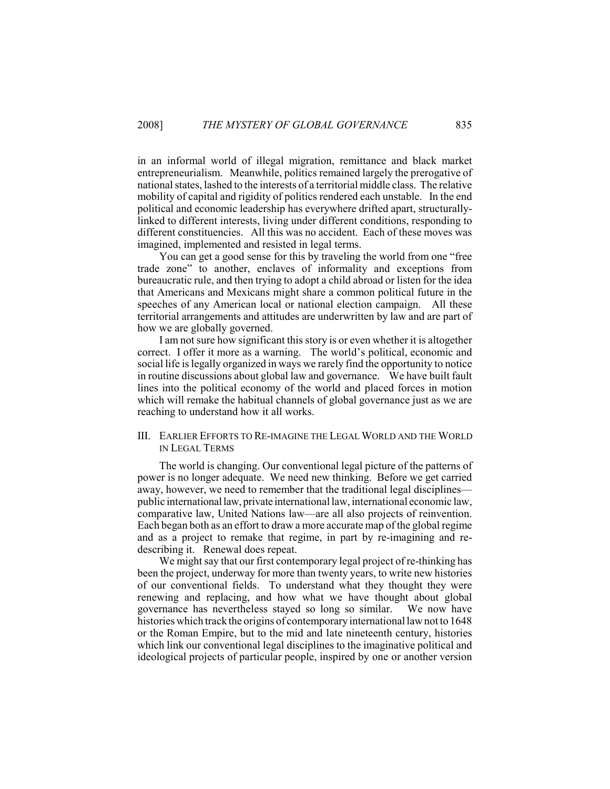in an informal world of illegal migration, remittance and black market entrepreneurialism. Meanwhile, politics remained largely the prerogative of national states, lashed to the interests of a territorial middle class. The relative mobility of capital and rigidity of politics rendered each unstable. In the end political and economic leadership has everywhere drifted apart, structurallylinked to different interests, living under different conditions, responding to different constituencies. All this was no accident. Each of these moves was imagined, implemented and resisted in legal terms.

You can get a good sense for this by traveling the world from one "free trade zone" to another, enclaves of informality and exceptions from bureaucratic rule, and then trying to adopt a child abroad or listen for the idea that Americans and Mexicans might share a common political future in the speeches of any American local or national election campaign. All these territorial arrangements and attitudes are underwritten by law and are part of how we are globally governed.

I am not sure how significant this story is or even whether it is altogether correct. I offer it more as a warning. The world's political, economic and social life is legally organized in ways we rarely find the opportunity to notice in routine discussions about global law and governance. We have built fault lines into the political economy of the world and placed forces in motion which will remake the habitual channels of global governance just as we are reaching to understand how it all works.

III. EARLIER EFFORTS TO RE-IMAGINE THE LEGAL WORLD AND THE WORLD IN LEGAL TERMS

The world is changing. Our conventional legal picture of the patterns of power is no longer adequate. We need new thinking. Before we get carried away, however, we need to remember that the traditional legal disciplines public international law, private international law, international economic law, comparative law, United Nations law—are all also projects of reinvention. Each began both as an effort to draw a more accurate map of the global regime and as a project to remake that regime, in part by re-imagining and redescribing it. Renewal does repeat.

We might say that our first contemporary legal project of re-thinking has been the project, underway for more than twenty years, to write new histories of our conventional fields. To understand what they thought they were renewing and replacing, and how what we have thought about global governance has nevertheless stayed so long so similar. We now have histories which track the origins of contemporary international law not to 1648 or the Roman Empire, but to the mid and late nineteenth century, histories which link our conventional legal disciplines to the imaginative political and ideological projects of particular people, inspired by one or another version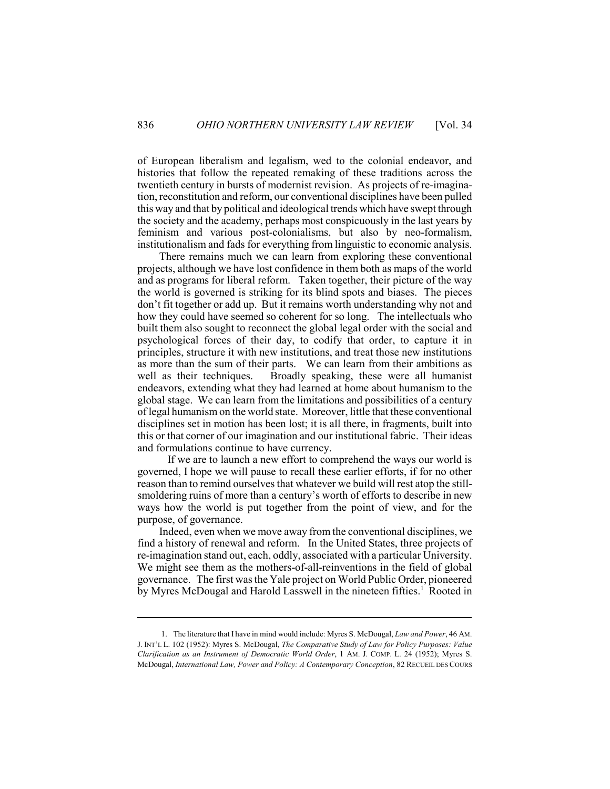of European liberalism and legalism, wed to the colonial endeavor, and histories that follow the repeated remaking of these traditions across the twentieth century in bursts of modernist revision. As projects of re-imagination, reconstitution and reform, our conventional disciplines have been pulled this way and that by political and ideological trends which have swept through the society and the academy, perhaps most conspicuously in the last years by feminism and various post-colonialisms, but also by neo-formalism, institutionalism and fads for everything from linguistic to economic analysis.

There remains much we can learn from exploring these conventional projects, although we have lost confidence in them both as maps of the world and as programs for liberal reform. Taken together, their picture of the way the world is governed is striking for its blind spots and biases. The pieces don't fit together or add up. But it remains worth understanding why not and how they could have seemed so coherent for so long. The intellectuals who built them also sought to reconnect the global legal order with the social and psychological forces of their day, to codify that order, to capture it in principles, structure it with new institutions, and treat those new institutions as more than the sum of their parts. We can learn from their ambitions as well as their techniques. Broadly speaking, these were all humanist endeavors, extending what they had learned at home about humanism to the global stage. We can learn from the limitations and possibilities of a century of legal humanism on the world state. Moreover, little that these conventional disciplines set in motion has been lost; it is all there, in fragments, built into this or that corner of our imagination and our institutional fabric. Their ideas and formulations continue to have currency.

 If we are to launch a new effort to comprehend the ways our world is governed, I hope we will pause to recall these earlier efforts, if for no other reason than to remind ourselves that whatever we build will rest atop the stillsmoldering ruins of more than a century's worth of efforts to describe in new ways how the world is put together from the point of view, and for the purpose, of governance.

Indeed, even when we move away from the conventional disciplines, we find a history of renewal and reform. In the United States, three projects of re-imagination stand out, each, oddly, associated with a particular University. We might see them as the mothers-of-all-reinventions in the field of global governance. The first was the Yale project on World Public Order, pioneered by Myres McDougal and Harold Lasswell in the nineteen fifties.<sup>1</sup> Rooted in

<sup>1.</sup> The literature that I have in mind would include: Myres S. McDougal, *Law and Power*, 46 AM. J. INT'L L. 102 (1952): Myres S. McDougal, *The Comparative Study of Law for Policy Purposes: Value Clarification as an Instrument of Democratic World Order*, 1 AM. J. COMP. L. 24 (1952); Myres S. McDougal, *International Law, Power and Policy: A Contemporary Conception*, 82 RECUEIL DES COURS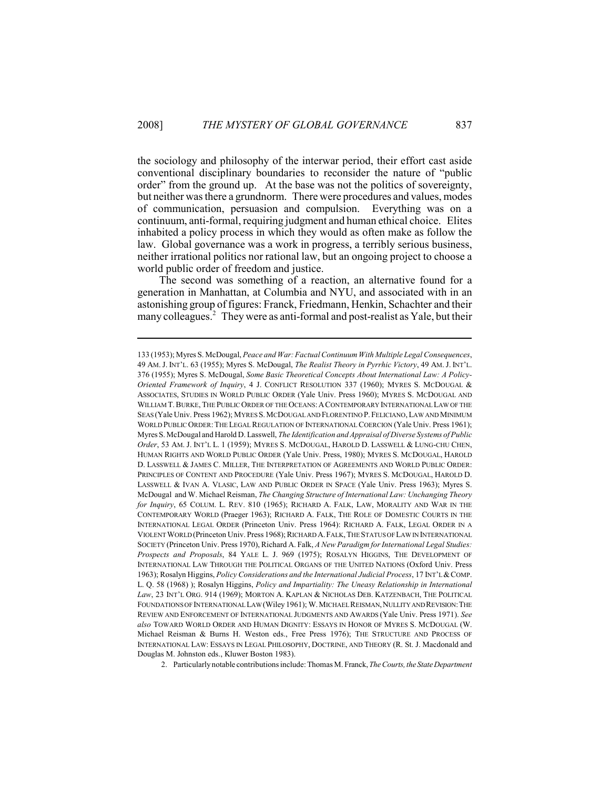the sociology and philosophy of the interwar period, their effort cast aside conventional disciplinary boundaries to reconsider the nature of "public order" from the ground up. At the base was not the politics of sovereignty, but neither was there a grundnorm. There were procedures and values, modes of communication, persuasion and compulsion. Everything was on a continuum, anti-formal, requiring judgment and human ethical choice. Elites inhabited a policy process in which they would as often make as follow the law. Global governance was a work in progress, a terribly serious business, neither irrational politics nor rational law, but an ongoing project to choose a world public order of freedom and justice.

The second was something of a reaction, an alternative found for a generation in Manhattan, at Columbia and NYU, and associated with in an astonishing group of figures: Franck, Friedmann, Henkin, Schachter and their many colleagues.<sup>2</sup> They were as anti-formal and post-realist as Yale, but their

<sup>133 (1953);</sup> Myres S. McDougal, *Peace and War: Factual Continuum With Multiple Legal Consequences*, 49 AM. J. INT'L. 63 (1955); Myres S. McDougal, *The Realist Theory in Pyrrhic Victory*, 49 AM. J. INT'L. 376 (1955); Myres S. McDougal, *Some Basic Theoretical Concepts About International Law: A Policy-Oriented Framework of Inquiry*, 4 J. CONFLICT RESOLUTION 337 (1960); MYRES S. MCDOUGAL & ASSOCIATES, STUDIES IN WORLD PUBLIC ORDER (Yale Univ. Press 1960); MYRES S. MCDOUGAL AND WILLIAM T.BURKE, THE PUBLIC ORDER OF THE OCEANS:ACONTEMPORARY INTERNATIONAL LAW OF THE SEAS (Yale Univ. Press 1962); MYRES S.MCDOUGAL AND FLORENTINO P.FELICIANO,LAW AND MINIMUM WORLD PUBLIC ORDER:THE LEGAL REGULATION OF INTERNATIONAL COERCION (Yale Univ. Press 1961); Myres S. McDougal and Harold D. Lasswell, *The Identification and Appraisal of Diverse Systems of Public Order*, 53 AM. J. INT'L L. 1 (1959); MYRES S. MCDOUGAL, HAROLD D. LASSWELL & LUNG-CHU CHEN, HUMAN RIGHTS AND WORLD PUBLIC ORDER (Yale Univ. Press, 1980); MYRES S. MCDOUGAL, HAROLD D. LASSWELL & JAMES C. MILLER, THE INTERPRETATION OF AGREEMENTS AND WORLD PUBLIC ORDER: PRINCIPLES OF CONTENT AND PROCEDURE (Yale Univ. Press 1967); MYRES S. MCDOUGAL, HAROLD D. LASSWELL & IVAN A. VLASIC, LAW AND PUBLIC ORDER IN SPACE (Yale Univ. Press 1963); Myres S. McDougal and W. Michael Reisman, *The Changing Structure of International Law: Unchanging Theory for Inquiry*, 65 COLUM. L. REV. 810 (1965); RICHARD A. FALK, LAW, MORALITY AND WAR IN THE CONTEMPORARY WORLD (Praeger 1963); RICHARD A. FALK, THE ROLE OF DOMESTIC COURTS IN THE INTERNATIONAL LEGAL ORDER (Princeton Univ. Press 1964): RICHARD A. FALK, LEGAL ORDER IN A VIOLENT WORLD (Princeton Univ. Press 1968); RICHARD A.FALK,THE STATUS OF LAW IN INTERNATIONAL SOCIETY (Princeton Univ. Press 1970), Richard A. Falk, *A New Paradigm for International Legal Studies: Prospects and Proposals*, 84 YALE L. J. 969 (1975); ROSALYN HIGGINS, THE DEVELOPMENT OF INTERNATIONAL LAW THROUGH THE POLITICAL ORGANS OF THE UNITED NATIONS (Oxford Univ. Press 1963); Rosalyn Higgins, *Policy Considerations and the International Judicial Process*, 17 INT'L &COMP. L. Q. 58 (1968) ); Rosalyn Higgins, *Policy and Impartiality: The Uneasy Relationship in International Law*, 23 INT'L ORG. 914 (1969); MORTON A. KAPLAN & NICHOLAS DEB. KATZENBACH, THE POLITICAL FOUNDATIONS OF INTERNATIONAL LAW (Wiley 1961); W. MICHAEL REISMAN, NULLITY AND REVISION: THE REVIEW AND ENFORCEMENT OF INTERNATIONAL JUDGMENTS AND AWARDS (Yale Univ. Press 1971). *See also* TOWARD WORLD ORDER AND HUMAN DIGNITY: ESSAYS IN HONOR OF MYRES S. MCDOUGAL (W. Michael Reisman & Burns H. Weston eds., Free Press 1976); THE STRUCTURE AND PROCESS OF INTERNATIONAL LAW: ESSAYS IN LEGAL PHILOSOPHY, DOCTRINE, AND THEORY (R. St. J. Macdonald and Douglas M. Johnston eds., Kluwer Boston 1983).

<sup>2.</sup> Particularly notable contributions include: Thomas M. Franck, *The Courts, the State Department*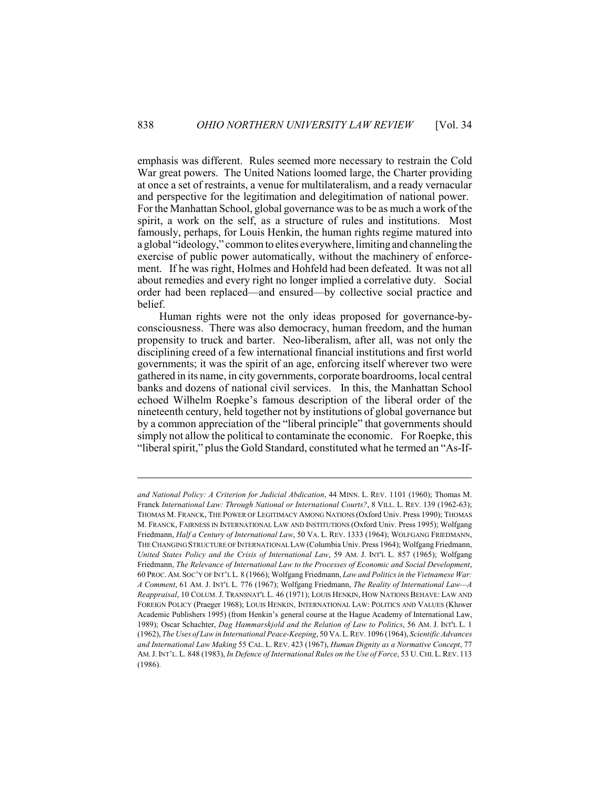emphasis was different. Rules seemed more necessary to restrain the Cold War great powers. The United Nations loomed large, the Charter providing at once a set of restraints, a venue for multilateralism, and a ready vernacular and perspective for the legitimation and delegitimation of national power. For the Manhattan School, global governance was to be as much a work of the spirit, a work on the self, as a structure of rules and institutions. Most famously, perhaps, for Louis Henkin, the human rights regime matured into a global "ideology," common to elites everywhere, limiting and channeling the exercise of public power automatically, without the machinery of enforcement. If he was right, Holmes and Hohfeld had been defeated. It was not all about remedies and every right no longer implied a correlative duty. Social order had been replaced—and ensured—by collective social practice and belief.

Human rights were not the only ideas proposed for governance-byconsciousness. There was also democracy, human freedom, and the human propensity to truck and barter. Neo-liberalism, after all, was not only the disciplining creed of a few international financial institutions and first world governments; it was the spirit of an age, enforcing itself wherever two were gathered in its name, in city governments, corporate boardrooms, local central banks and dozens of national civil services. In this, the Manhattan School echoed Wilhelm Roepke's famous description of the liberal order of the nineteenth century, held together not by institutions of global governance but by a common appreciation of the "liberal principle" that governments should simply not allow the political to contaminate the economic. For Roepke, this "liberal spirit," plus the Gold Standard, constituted what he termed an "As-If-

*and National Policy: A Criterion for Judicial Abdication*, 44 MINN. L. REV. 1101 (1960); Thomas M. Franck *International Law: Through National or International Courts?*, 8 VILL. L. REV. 139 (1962-63); THOMAS M. FRANCK, THE POWER OF LEGITIMACY AMONG NATIONS (Oxford Univ. Press 1990); THOMAS M. FRANCK, FAIRNESS IN INTERNATIONAL LAW AND INSTITUTIONS (Oxford Univ. Press 1995); Wolfgang Friedmann, *Half a Century of International Law*, 50 VA. L. REV. 1333 (1964); WOLFGANG FRIEDMANN, THE CHANGING STRUCTURE OF INTERNATIONAL LAW (Columbia Univ. Press 1964); Wolfgang Friedmann, *United States Policy and the Crisis of International Law*, 59 AM. J. INT'L L. 857 (1965); Wolfgang Friedmann, *The Relevance of International Law to the Processes of Economic and Social Development*, 60 PROC.AM.SOC'Y OF INT'L L. 8 (1966); Wolfgang Friedmann, *Law and Politics in the Vietnamese War: A Comment*, 61 AM. J. INT'L L. 776 (1967); Wolfgang Friedmann, *The Reality of International Law—A Reappraisal*, 10 COLUM. J. TRANSNAT'L L. 46 (1971); LOUIS HENKIN, HOW NATIONS BEHAVE: LAW AND FOREIGN POLICY (Praeger 1968); LOUIS HENKIN, INTERNATIONAL LAW: POLITICS AND VALUES (Kluwer Academic Publishers 1995) (from Henkin's general course at the Hague Academy of International Law, 1989); Oscar Schachter, *Dag Hammarskjold and the Relation of Law to Politics*, 56 AM. J. INT'L L. 1 (1962), *The Uses of Law in International Peace-Keeping*, 50 VA.L.REV. 1096 (1964), *Scientific Advances and International Law Making* 55 CAL. L. REV. 423 (1967), *Human Dignity as a Normative Concept*, 77 AM.J. INT'L. L. 848 (1983), *In Defence of International Rules on the Use of Force*, 53 U.CHI. L.REV. 113 (1986).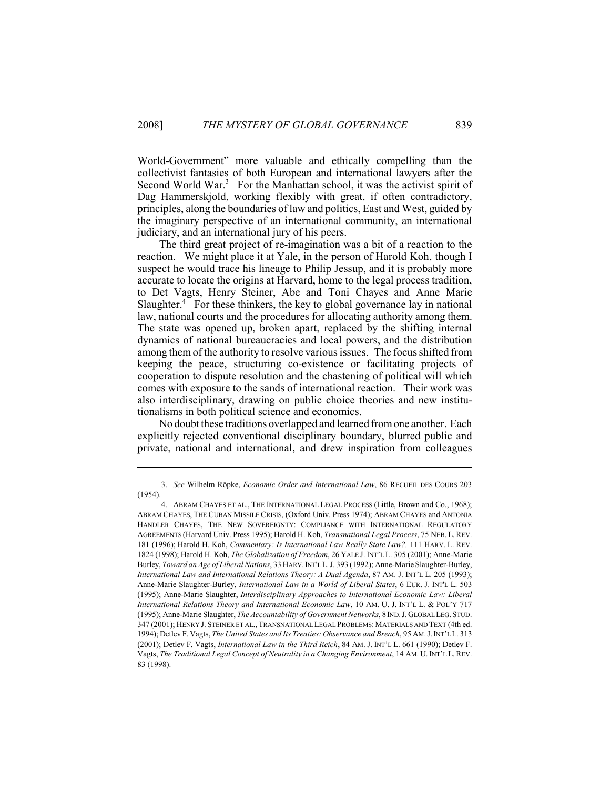World-Government" more valuable and ethically compelling than the collectivist fantasies of both European and international lawyers after the Second World War.<sup>3</sup> For the Manhattan school, it was the activist spirit of Dag Hammerskjold, working flexibly with great, if often contradictory, principles, along the boundaries of law and politics, East and West, guided by the imaginary perspective of an international community, an international judiciary, and an international jury of his peers.

The third great project of re-imagination was a bit of a reaction to the reaction. We might place it at Yale, in the person of Harold Koh, though I suspect he would trace his lineage to Philip Jessup, and it is probably more accurate to locate the origins at Harvard, home to the legal process tradition, to Det Vagts, Henry Steiner, Abe and Toni Chayes and Anne Marie Slaughter.<sup>4</sup> For these thinkers, the key to global governance lay in national law, national courts and the procedures for allocating authority among them. The state was opened up, broken apart, replaced by the shifting internal dynamics of national bureaucracies and local powers, and the distribution among them of the authority to resolve various issues. The focus shifted from keeping the peace, structuring co-existence or facilitating projects of cooperation to dispute resolution and the chastening of political will which comes with exposure to the sands of international reaction. Their work was also interdisciplinary, drawing on public choice theories and new institutionalisms in both political science and economics.

No doubt these traditions overlapped and learned from one another. Each explicitly rejected conventional disciplinary boundary, blurred public and private, national and international, and drew inspiration from colleagues

<sup>3.</sup> *See* Wilhelm Röpke, *Economic Order and International Law*, 86 RECUEIL DES COURS 203 (1954).

<sup>4.</sup> ABRAM CHAYES ET AL., THE INTERNATIONAL LEGAL PROCESS (Little, Brown and Co., 1968); ABRAM CHAYES, THE CUBAN MISSILE CRISIS, (Oxford Univ. Press 1974); ABRAM CHAYES and ANTONIA HANDLER CHAYES, THE NEW SOVEREIGNTY: COMPLIANCE WITH INTERNATIONAL REGULATORY AGREEMENTS (Harvard Univ. Press 1995); Harold H. Koh, *Transnational Legal Process*, 75 NEB. L. REV. 181 (1996); Harold H. Koh, *Commentary: Is International Law Really State Law?,* 111 HARV. L. REV. 1824 (1998); Harold H. Koh, *The Globalization of Freedom*, 26 YALE J. INT'L L. 305 (2001); Anne-Marie Burley, *Toward an Age of Liberal Nations*, 33 HARV.INT'L L.J. 393 (1992); Anne-Marie Slaughter-Burley, *International Law and International Relations Theory: A Dual Agenda*, 87 AM. J. INT'L L. 205 (1993); Anne-Marie Slaughter-Burley, *International Law in a World of Liberal States*, 6 EUR. J. INT'L L. 503 (1995); Anne-Marie Slaughter, *Interdisciplinary Approaches to International Economic Law: Liberal International Relations Theory and International Economic Law*, 10 AM. U. J. INT'L L. & POL'Y 717 (1995); Anne-Marie Slaughter, *The Accountability of Government Networks*, 8 IND.J.GLOBAL LEG.STUD. 347 (2001); HENRY J. STEINER ET AL., TRANSNATIONAL LEGAL PROBLEMS:MATERIALS AND TEXT (4th ed. 1994); Detlev F. Vagts, *The United States and Its Treaties: Observance and Breach*, 95 AM.J.INT'L L. 313 (2001); Detlev F. Vagts, *International Law in the Third Reich*, 84 AM. J. INT'L L. 661 (1990); Detlev F. Vagts, *The Traditional Legal Concept of Neutrality in a Changing Environment*, 14 AM. U. INT'L L. REV. 83 (1998).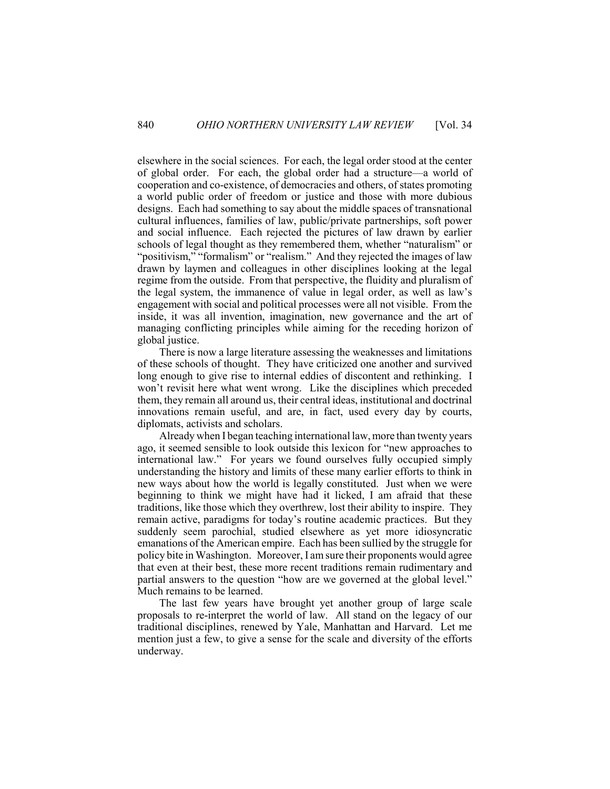elsewhere in the social sciences. For each, the legal order stood at the center of global order. For each, the global order had a structure—a world of cooperation and co-existence, of democracies and others, of states promoting a world public order of freedom or justice and those with more dubious designs. Each had something to say about the middle spaces of transnational cultural influences, families of law, public/private partnerships, soft power and social influence. Each rejected the pictures of law drawn by earlier schools of legal thought as they remembered them, whether "naturalism" or "positivism," "formalism" or "realism." And they rejected the images of law drawn by laymen and colleagues in other disciplines looking at the legal regime from the outside. From that perspective, the fluidity and pluralism of the legal system, the immanence of value in legal order, as well as law's engagement with social and political processes were all not visible. From the inside, it was all invention, imagination, new governance and the art of managing conflicting principles while aiming for the receding horizon of global justice.

There is now a large literature assessing the weaknesses and limitations of these schools of thought. They have criticized one another and survived long enough to give rise to internal eddies of discontent and rethinking. I won't revisit here what went wrong. Like the disciplines which preceded them, they remain all around us, their central ideas, institutional and doctrinal innovations remain useful, and are, in fact, used every day by courts, diplomats, activists and scholars.

Already when I began teaching international law, more than twenty years ago, it seemed sensible to look outside this lexicon for "new approaches to international law." For years we found ourselves fully occupied simply understanding the history and limits of these many earlier efforts to think in new ways about how the world is legally constituted. Just when we were beginning to think we might have had it licked, I am afraid that these traditions, like those which they overthrew, lost their ability to inspire. They remain active, paradigms for today's routine academic practices. But they suddenly seem parochial, studied elsewhere as yet more idiosyncratic emanations of the American empire. Each has been sullied by the struggle for policy bite in Washington. Moreover, I am sure their proponents would agree that even at their best, these more recent traditions remain rudimentary and partial answers to the question "how are we governed at the global level." Much remains to be learned.

The last few years have brought yet another group of large scale proposals to re-interpret the world of law. All stand on the legacy of our traditional disciplines, renewed by Yale, Manhattan and Harvard. Let me mention just a few, to give a sense for the scale and diversity of the efforts underway.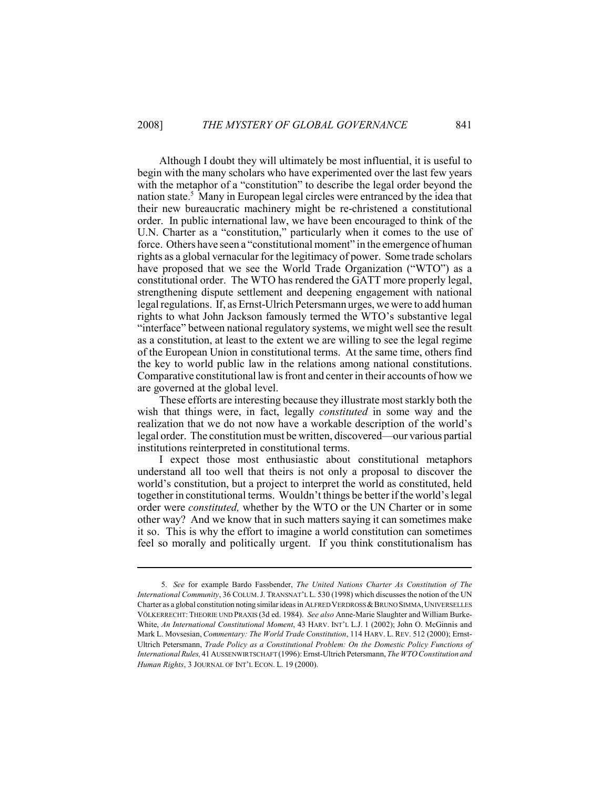Although I doubt they will ultimately be most influential, it is useful to begin with the many scholars who have experimented over the last few years with the metaphor of a "constitution" to describe the legal order beyond the nation state.<sup>5</sup> Many in European legal circles were entranced by the idea that their new bureaucratic machinery might be re-christened a constitutional order. In public international law, we have been encouraged to think of the U.N. Charter as a "constitution," particularly when it comes to the use of force. Others have seen a "constitutional moment" in the emergence of human rights as a global vernacular for the legitimacy of power. Some trade scholars have proposed that we see the World Trade Organization ("WTO") as a constitutional order. The WTO has rendered the GATT more properly legal, strengthening dispute settlement and deepening engagement with national legal regulations. If, as Ernst-Ulrich Petersmann urges, we were to add human rights to what John Jackson famously termed the WTO's substantive legal "interface" between national regulatory systems, we might well see the result as a constitution, at least to the extent we are willing to see the legal regime of the European Union in constitutional terms. At the same time, others find the key to world public law in the relations among national constitutions. Comparative constitutional law is front and center in their accounts of how we are governed at the global level.

These efforts are interesting because they illustrate most starkly both the wish that things were, in fact, legally *constituted* in some way and the realization that we do not now have a workable description of the world's legal order. The constitution must be written, discovered—our various partial institutions reinterpreted in constitutional terms.

I expect those most enthusiastic about constitutional metaphors understand all too well that theirs is not only a proposal to discover the world's constitution, but a project to interpret the world as constituted, held together in constitutional terms. Wouldn't things be better if the world's legal order were *constituted,* whether by the WTO or the UN Charter or in some other way? And we know that in such matters saying it can sometimes make it so. This is why the effort to imagine a world constitution can sometimes feel so morally and politically urgent. If you think constitutionalism has

<sup>5.</sup> *See* for example Bardo Fassbender, *The United Nations Charter As Constitution of The International Community*, 36 COLUM.J. TRANSNAT'L L. 530 (1998) which discusses the notion of the UN Charter as a global constitution noting similar ideas in ALFRED VERDROSS & BRUNO SIMMA, UNIVERSELLES VÖLKERRECHT: THEORIE UND PRAXIS (3d ed. 1984). *See also* Anne-Marie Slaughter and William Burke-White, *An International Constitutional Moment*, 43 HARV. INT'L L.J. 1 (2002); John O. McGinnis and Mark L. Movsesian, *Commentary: The World Trade Constitution*, 114 HARV. L. REV. 512 (2000); Ernst-Ultrich Petersmann, *Trade Policy as a Constitutional Problem: On the Domestic Policy Functions of International Rules,* 41 AUSSENWIRTSCHAFT (1996): Ernst-Ultrich Petersmann, *The WTO Constitution and Human Rights*, 3 JOURNAL OF INT'L ECON. L. 19 (2000).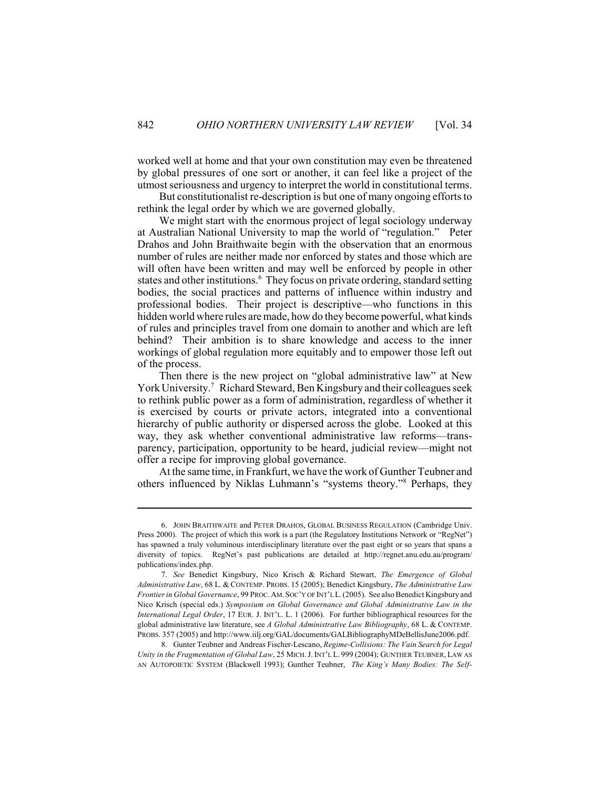worked well at home and that your own constitution may even be threatened by global pressures of one sort or another, it can feel like a project of the utmost seriousness and urgency to interpret the world in constitutional terms.

But constitutionalist re-description is but one of many ongoing efforts to rethink the legal order by which we are governed globally.

We might start with the enormous project of legal sociology underway at Australian National University to map the world of "regulation." Peter Drahos and John Braithwaite begin with the observation that an enormous number of rules are neither made nor enforced by states and those which are will often have been written and may well be enforced by people in other states and other institutions.<sup>6</sup> They focus on private ordering, standard setting bodies, the social practices and patterns of influence within industry and professional bodies. Their project is descriptive—who functions in this hidden world where rules are made, how do they become powerful, what kinds of rules and principles travel from one domain to another and which are left behind? Their ambition is to share knowledge and access to the inner workings of global regulation more equitably and to empower those left out of the process.

Then there is the new project on "global administrative law" at New York University.<sup>7</sup> Richard Steward, Ben Kingsbury and their colleagues seek to rethink public power as a form of administration, regardless of whether it is exercised by courts or private actors, integrated into a conventional hierarchy of public authority or dispersed across the globe. Looked at this way, they ask whether conventional administrative law reforms—transparency, participation, opportunity to be heard, judicial review—might not offer a recipe for improving global governance.

At the same time, in Frankfurt, we have the work of Gunther Teubner and others influenced by Niklas Luhmann's "systems theory."8 Perhaps, they

<sup>6.</sup> JOHN BRAITHWAITE and PETER DRAHOS, GLOBAL BUSINESS REGULATION (Cambridge Univ. Press 2000). The project of which this work is a part (the Regulatory Institutions Network or "RegNet") has spawned a truly voluminous interdisciplinary literature over the past eight or so years that spans a diversity of topics. RegNet's past publications are detailed at http://regnet.anu.edu.au/program/ publications/index.php.

<sup>7.</sup> *See* Benedict Kingsbury, Nico Krisch & Richard Stewart, *The Emergence of Global Administrative Law*, 68 L. & CONTEMP. PROBS. 15 (2005); Benedict Kingsbury, *The Administrative Law Frontier in Global Governance*, 99 PROC.AM.SOC'Y OF INT'L L.(2005). See also Benedict Kingsbury and Nico Krisch (special eds.) *Symposium on Global Governance and Global Administrative Law in the International Legal Order*, 17 EUR. J. INT'L. L. 1 (2006). For further bibliographical resources for the global administrative law literature, see *A Global Administrative Law Bibliography*, 68 L. & CONTEMP. PROBS. 357 (2005) and http://www.iilj.org/GAL/documents/GALBibliographyMDeBellisJune2006.pdf.

<sup>8.</sup> Gunter Teubner and Andreas Fischer-Lescano, *Regime-Collisions: The Vain Search for Legal Unity in the Fragmentation of Global Law*, 25 MICH.J. INT'L L. 999 (2004); GUNTHER TEUBNER, LAW AS AN AUTOPOIETIC SYSTEM (Blackwell 1993); Gunther Teubner, *The King's Many Bodies: The Self-*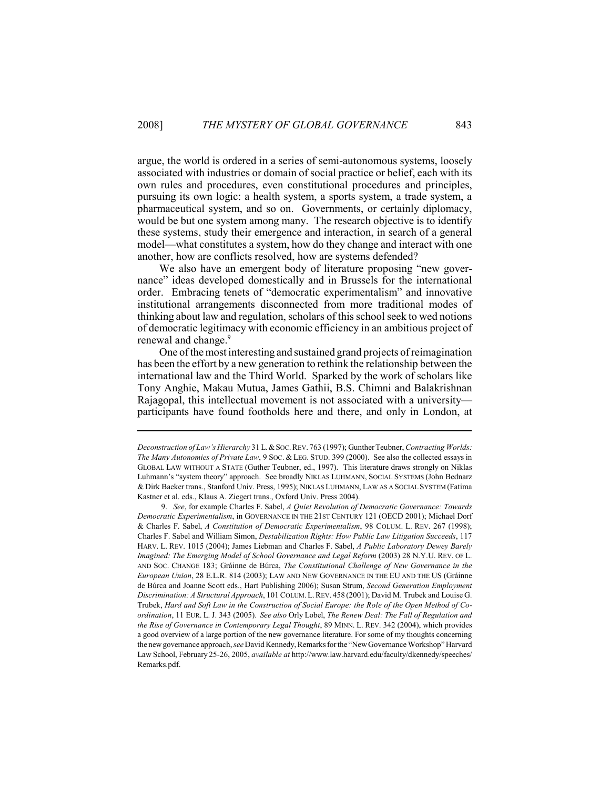argue, the world is ordered in a series of semi-autonomous systems, loosely associated with industries or domain of social practice or belief, each with its own rules and procedures, even constitutional procedures and principles, pursuing its own logic: a health system, a sports system, a trade system, a pharmaceutical system, and so on. Governments, or certainly diplomacy, would be but one system among many. The research objective is to identify these systems, study their emergence and interaction, in search of a general model—what constitutes a system, how do they change and interact with one another, how are conflicts resolved, how are systems defended?

We also have an emergent body of literature proposing "new governance" ideas developed domestically and in Brussels for the international order. Embracing tenets of "democratic experimentalism" and innovative institutional arrangements disconnected from more traditional modes of thinking about law and regulation, scholars of this school seek to wed notions of democratic legitimacy with economic efficiency in an ambitious project of renewal and change.<sup>9</sup>

One of the most interesting and sustained grand projects of reimagination has been the effort by a new generation to rethink the relationship between the international law and the Third World. Sparked by the work of scholars like Tony Anghie, Makau Mutua, James Gathii, B.S. Chimni and Balakrishnan Rajagopal, this intellectual movement is not associated with a university participants have found footholds here and there, and only in London, at

*Deconstruction of Law's Hierarchy* 31 L.&SOC.REV. 763 (1997); GuntherTeubner, *Contracting Worlds: The Many Autonomies of Private Law*, 9 SOC. & LEG. STUD. 399 (2000). See also the collected essays in GLOBAL LAW WITHOUT A STATE (Guther Teubner, ed., 1997). This literature draws strongly on Niklas Luhmann's "system theory" approach. See broadly NIKLAS LUHMANN, SOCIAL SYSTEMS (John Bednarz & Dirk Baeker trans., Stanford Univ. Press, 1995); NIKLAS LUHMANN, LAW AS A SOCIAL SYSTEM (Fatima Kastner et al. eds., Klaus A. Ziegert trans., Oxford Univ. Press 2004).

<sup>9.</sup> *See*, for example Charles F. Sabel, *A Quiet Revolution of Democratic Governance: Towards Democratic Experimentalism*, in GOVERNANCE IN THE 21ST CENTURY 121 (OECD 2001); Michael Dorf & Charles F. Sabel, *A Constitution of Democratic Experimentalism*, 98 COLUM. L. REV. 267 (1998); Charles F. Sabel and William Simon, *Destabilization Rights: How Public Law Litigation Succeeds*, 117 HARV. L. REV. 1015 (2004); James Liebman and Charles F. Sabel, *A Public Laboratory Dewey Barely Imagined: The Emerging Model of School Governance and Legal Reform (2003) 28 N.Y.U. REV. OF L.* AND SOC. CHANGE 183; Gráinne de Búrca, *The Constitutional Challenge of New Governance in the European Union*, 28 E.L.R. 814 (2003); LAW AND NEW GOVERNANCE IN THE EU AND THE US (Gráinne de Búrca and Joanne Scott eds., Hart Publishing 2006); Susan Strum, *Second Generation Employment Discrimination: A Structural Approach*, 101 COLUM. L.REV. 458 (2001); David M. Trubek and Louise G. Trubek, *Hard and Soft Law in the Construction of Social Europe: the Role of the Open Method of Coordination*, 11 EUR. L. J. 343 (2005). *See also* Orly Lobel, *The Renew Deal: The Fall of Regulation and the Rise of Governance in Contemporary Legal Thought*, 89 MINN. L. REV. 342 (2004), which provides a good overview of a large portion of the new governance literature. For some of my thoughts concerning the new governance approach, *see* David Kennedy, Remarks for the "New Governance Workshop" Harvard Law School, February 25-26, 2005, *available at* http://www.law.harvard.edu/faculty/dkennedy/speeches/ Remarks.pdf.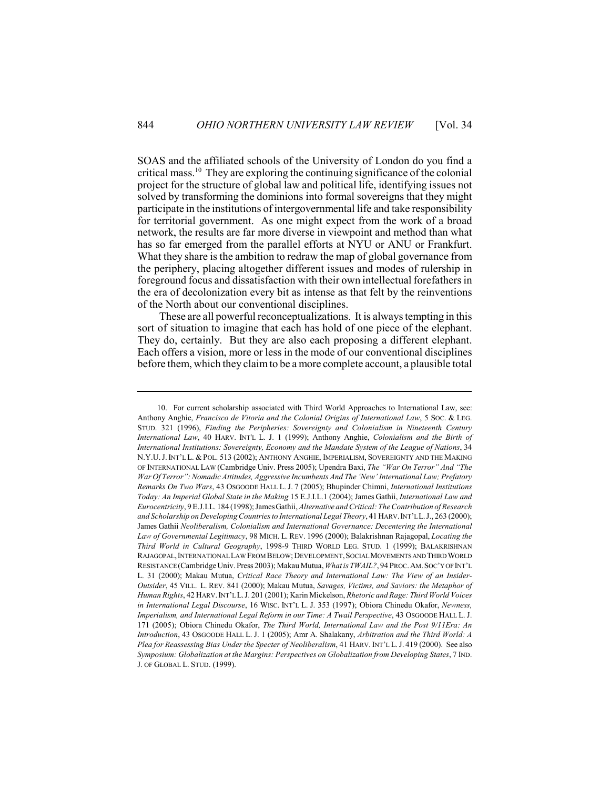SOAS and the affiliated schools of the University of London do you find a critical mass.10 They are exploring the continuing significance of the colonial project for the structure of global law and political life, identifying issues not solved by transforming the dominions into formal sovereigns that they might participate in the institutions of intergovernmental life and take responsibility for territorial government. As one might expect from the work of a broad network, the results are far more diverse in viewpoint and method than what has so far emerged from the parallel efforts at NYU or ANU or Frankfurt. What they share is the ambition to redraw the map of global governance from the periphery, placing altogether different issues and modes of rulership in foreground focus and dissatisfaction with their own intellectual forefathers in the era of decolonization every bit as intense as that felt by the reinventions of the North about our conventional disciplines.

These are all powerful reconceptualizations. It is always tempting in this sort of situation to imagine that each has hold of one piece of the elephant. They do, certainly. But they are also each proposing a different elephant. Each offers a vision, more or less in the mode of our conventional disciplines before them, which they claim to be a more complete account, a plausible total

<sup>10.</sup> For current scholarship associated with Third World Approaches to International Law, see: Anthony Anghie, *Francisco de Vitoria and the Colonial Origins of International Law*, 5 SOC. & LEG. STUD. 321 (1996), *Finding the Peripheries: Sovereignty and Colonialism in Nineteenth Century International Law*, 40 HARV. INT'L L. J. 1 (1999); Anthony Anghie, *Colonialism and the Birth of International Institutions: Sovereignty, Economy and the Mandate System of the League of Nations*, 34 N.Y.U.J. INT'L L. &POL. 513 (2002); ANTHONY ANGHIE, IMPERIALISM, SOVEREIGNTY AND THE MAKING OF INTERNATIONAL LAW (Cambridge Univ. Press 2005); Upendra Baxi, *The "War On Terror" And "The War Of Terror": Nomadic Attitudes, Aggressive Incumbents And The 'New' International Law; Prefatory Remarks On Two Wars*, 43 OSGOODE HALL L. J. 7 (2005); Bhupinder Chimni, *International Institutions Today: An Imperial Global State in the Making* 15 E.J.I.L.1 (2004); James Gathii, *International Law and Eurocentricity*, 9 E.J.I.L. 184 (1998); JamesGathii, *Alternative and Critical: The Contribution of Research and Scholarship on Developing Countries to International Legal Theory*, 41 HARV.INT'L L.J., 263 (2000); James Gathii *Neoliberalism, Colonialism and International Governance: Decentering the International Law of Governmental Legitimacy*, 98 MICH. L. REV. 1996 (2000); Balakrishnan Rajagopal, *Locating the Third World in Cultural Geography*, 1998-9 THIRD WORLD LEG. STUD. 1 (1999); BALAKRISHNAN RAJAGOPAL,INTERNATIONAL LAW FROM BELOW;DEVELOPMENT,SOCIAL MOVEMENTS AND THIRD WORLD RESISTANCE (Cambridge Univ. Press 2003); Makau Mutua, *What is TWAIL?*, 94 PROC.AM.SOC'Y OF INT'L L. 31 (2000); Makau Mutua, *Critical Race Theory and International Law: The View of an Insider-Outsider*, 45 VILL. L. REV. 841 (2000); Makau Mutua, *Savages, Victims, and Saviors: the Metaphor of Human Rights*, 42 HARV.INT'L L.J. 201 (2001); Karin Mickelson, *Rhetoric and Rage: Third World Voices in International Legal Discourse*, 16 WISC. INT'L L. J. 353 (1997); Obiora Chinedu Okafor, *Newness, Imperialism, and International Legal Reform in our Time: A Twail Perspective*, 43 OSGOODE HALL L. J. 171 (2005); Obiora Chinedu Okafor, *The Third World, International Law and the Post 9/11Era: An Introduction*, 43 OSGOODE HALL L. J. 1 (2005); Amr A. Shalakany, *Arbitration and the Third World: A Plea for Reassessing Bias Under the Specter of Neoliberalism*, 41 HARV. INT'L L.J. 419 (2000). See also *Symposium: Globalization at the Margins: Perspectives on Globalization from Developing States*, 7 IND. J. OF GLOBAL L. STUD. (1999).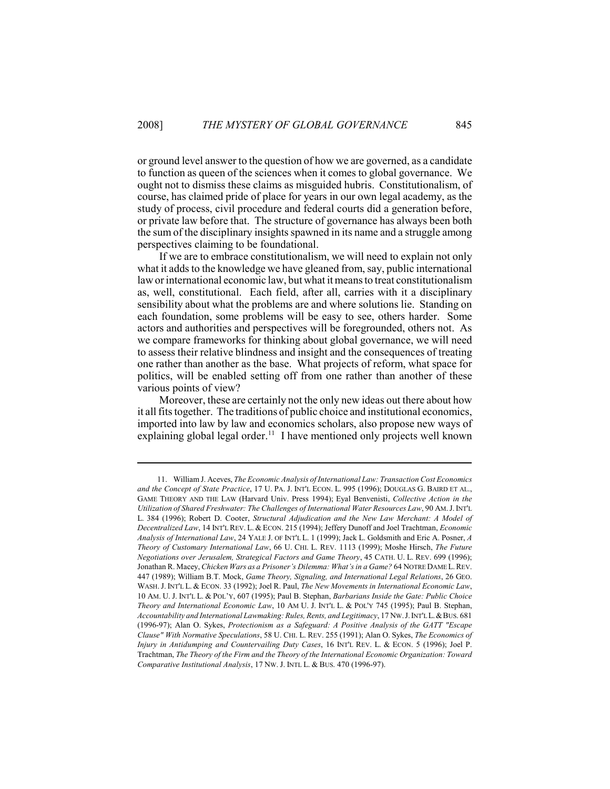or ground level answer to the question of how we are governed, as a candidate to function as queen of the sciences when it comes to global governance. We ought not to dismiss these claims as misguided hubris. Constitutionalism, of course, has claimed pride of place for years in our own legal academy, as the study of process, civil procedure and federal courts did a generation before, or private law before that. The structure of governance has always been both the sum of the disciplinary insights spawned in its name and a struggle among perspectives claiming to be foundational.

If we are to embrace constitutionalism, we will need to explain not only what it adds to the knowledge we have gleaned from, say, public international law or international economic law, but what it means to treat constitutionalism as, well, constitutional. Each field, after all, carries with it a disciplinary sensibility about what the problems are and where solutions lie. Standing on each foundation, some problems will be easy to see, others harder. Some actors and authorities and perspectives will be foregrounded, others not. As we compare frameworks for thinking about global governance, we will need to assess their relative blindness and insight and the consequences of treating one rather than another as the base. What projects of reform, what space for politics, will be enabled setting off from one rather than another of these various points of view?

Moreover, these are certainly not the only new ideas out there about how it all fits together. The traditions of public choice and institutional economics, imported into law by law and economics scholars, also propose new ways of explaining global legal order.<sup>11</sup> I have mentioned only projects well known

<sup>11.</sup> William J. Aceves, *The Economic Analysis of International Law: Transaction Cost Economics and the Concept of State Practice*, 17 U. PA. J. INT'L ECON. L. 995 (1996); DOUGLAS G. BAIRD ET AL., GAME THEORY AND THE LAW (Harvard Univ. Press 1994); Eyal Benvenisti, *Collective Action in the Utilization of Shared Freshwater: The Challenges of International Water Resources Law*, 90 AM.J.INT'L L. 384 (1996); Robert D. Cooter, *Structural Adjudication and the New Law Merchant: A Model of Decentralized Law*, 14 INT'L REV. L. & ECON. 215 (1994); Jeffery Dunoff and Joel Trachtman, *Economic Analysis of International Law*, 24 YALE J. OF INT'L L. 1 (1999); Jack L. Goldsmith and Eric A. Posner, *A Theory of Customary International Law*, 66 U. CHI. L. REV. 1113 (1999); Moshe Hirsch, *The Future Negotiations over Jerusalem, Strategical Factors and Game Theory*, 45 CATH. U. L. REV. 699 (1996); Jonathan R. Macey, *Chicken Wars as a Prisoner's Dilemma: What's in a Game?* 64 NOTRE DAME L. REV. 447 (1989); William B.T. Mock, *Game Theory, Signaling, and International Legal Relations*, 26 GEO. WASH.J. INT'L L. & ECON. 33 (1992); Joel R. Paul, *The New Movements in International Economic Law*, 10 AM. U. J. INT'L L. & POL'Y, 607 (1995); Paul B. Stephan, *Barbarians Inside the Gate: Public Choice Theory and International Economic Law*, 10 AM U. J. INT'L L. & POL'Y 745 (1995); Paul B. Stephan, *Accountability and International Lawmaking: Rules, Rents, and Legitimacy*, 17 NW.J.INT'L L.&BUS. 681 (1996-97); Alan O. Sykes, *Protectionism as a Safeguard: A Positive Analysis of the GATT "Escape Clause" With Normative Speculations*, 58 U. CHI. L. REV. 255 (1991); Alan O. Sykes, *The Economics of Injury in Antidumping and Countervailing Duty Cases*, 16 INT'L REV. L. & ECON. 5 (1996); Joel P. Trachtman, *The Theory of the Firm and the Theory of the International Economic Organization: Toward Comparative Institutional Analysis*, 17 NW. J. INTL L. & BUS. 470 (1996-97).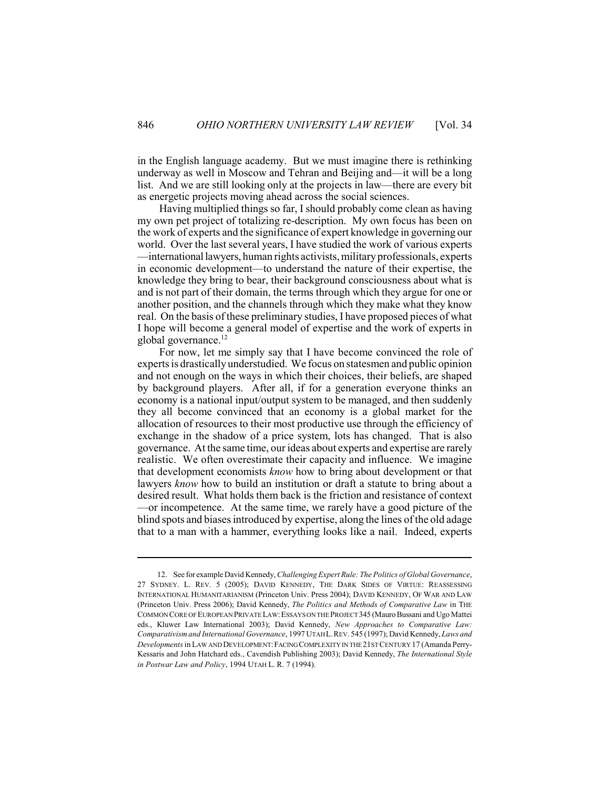in the English language academy. But we must imagine there is rethinking underway as well in Moscow and Tehran and Beijing and—it will be a long list. And we are still looking only at the projects in law—there are every bit as energetic projects moving ahead across the social sciences.

Having multiplied things so far, I should probably come clean as having my own pet project of totalizing re-description. My own focus has been on the work of experts and the significance of expert knowledge in governing our world. Over the last several years, I have studied the work of various experts —international lawyers, human rights activists, military professionals, experts in economic development—to understand the nature of their expertise, the knowledge they bring to bear, their background consciousness about what is and is not part of their domain, the terms through which they argue for one or another position, and the channels through which they make what they know real. On the basis of these preliminary studies, I have proposed pieces of what I hope will become a general model of expertise and the work of experts in global governance.<sup>12</sup>

For now, let me simply say that I have become convinced the role of experts is drastically understudied. We focus on statesmen and public opinion and not enough on the ways in which their choices, their beliefs, are shaped by background players. After all, if for a generation everyone thinks an economy is a national input/output system to be managed, and then suddenly they all become convinced that an economy is a global market for the allocation of resources to their most productive use through the efficiency of exchange in the shadow of a price system, lots has changed. That is also governance. At the same time, our ideas about experts and expertise are rarely realistic. We often overestimate their capacity and influence. We imagine that development economists *know* how to bring about development or that lawyers *know* how to build an institution or draft a statute to bring about a desired result. What holds them back is the friction and resistance of context —or incompetence. At the same time, we rarely have a good picture of the blind spots and biases introduced by expertise, along the lines of the old adage that to a man with a hammer, everything looks like a nail. Indeed, experts

<sup>12.</sup> See for example David Kennedy, *Challenging Expert Rule: The Politics of Global Governance*, 27 SYDNEY. L. REV. 5 (2005); DAVID KENNEDY, THE DARK SIDES OF VIRTUE: REASSESSING INTERNATIONAL HUMANITARIANISM (Princeton Univ. Press 2004); DAVID KENNEDY, OF WAR AND LAW (Princeton Univ. Press 2006); David Kennedy, *The Politics and Methods of Comparative Law* in THE COMMON CORE OF EUROPEAN PRIVATE LAW:ESSAYS ON THE PROJECT 345 (Mauro Bussani and Ugo Mattei eds., Kluwer Law International 2003); David Kennedy, *New Approaches to Comparative Law: Comparativism and International Governance*, 1997 UTAH L.REV. 545 (1997); David Kennedy, *Laws and Developments* in LAW AND DEVELOPMENT:FACING COMPLEXITY IN THE 21ST CENTURY 17 (Amanda Perry-Kessaris and John Hatchard eds., Cavendish Publishing 2003); David Kennedy, *The International Style in Postwar Law and Policy*, 1994 UTAH L. R. 7 (1994).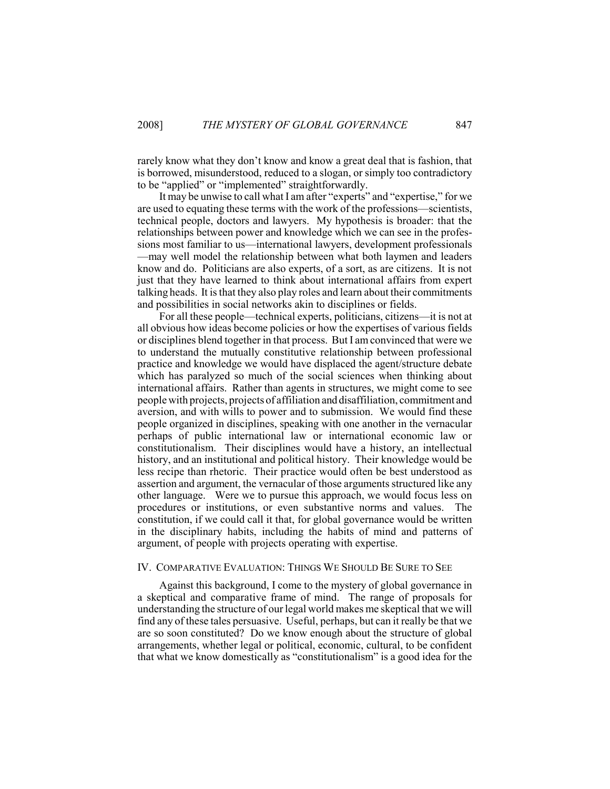rarely know what they don't know and know a great deal that is fashion, that is borrowed, misunderstood, reduced to a slogan, or simply too contradictory to be "applied" or "implemented" straightforwardly.

It may be unwise to call what I am after "experts" and "expertise," for we are used to equating these terms with the work of the professions—scientists, technical people, doctors and lawyers. My hypothesis is broader: that the relationships between power and knowledge which we can see in the professions most familiar to us—international lawyers, development professionals —may well model the relationship between what both laymen and leaders know and do. Politicians are also experts, of a sort, as are citizens. It is not just that they have learned to think about international affairs from expert talking heads. It is that they also play roles and learn about their commitments and possibilities in social networks akin to disciplines or fields.

For all these people—technical experts, politicians, citizens—it is not at all obvious how ideas become policies or how the expertises of various fields or disciplines blend together in that process. But I am convinced that were we to understand the mutually constitutive relationship between professional practice and knowledge we would have displaced the agent/structure debate which has paralyzed so much of the social sciences when thinking about international affairs. Rather than agents in structures, we might come to see people with projects, projects of affiliation and disaffiliation, commitment and aversion, and with wills to power and to submission. We would find these people organized in disciplines, speaking with one another in the vernacular perhaps of public international law or international economic law or constitutionalism. Their disciplines would have a history, an intellectual history, and an institutional and political history. Their knowledge would be less recipe than rhetoric. Their practice would often be best understood as assertion and argument, the vernacular of those arguments structured like any other language. Were we to pursue this approach, we would focus less on procedures or institutions, or even substantive norms and values. The constitution, if we could call it that, for global governance would be written in the disciplinary habits, including the habits of mind and patterns of argument, of people with projects operating with expertise.

#### IV. COMPARATIVE EVALUATION: THINGS WE SHOULD BE SURE TO SEE

Against this background, I come to the mystery of global governance in a skeptical and comparative frame of mind. The range of proposals for understanding the structure of our legal world makes me skeptical that we will find any of these tales persuasive. Useful, perhaps, but can it really be that we are so soon constituted? Do we know enough about the structure of global arrangements, whether legal or political, economic, cultural, to be confident that what we know domestically as "constitutionalism" is a good idea for the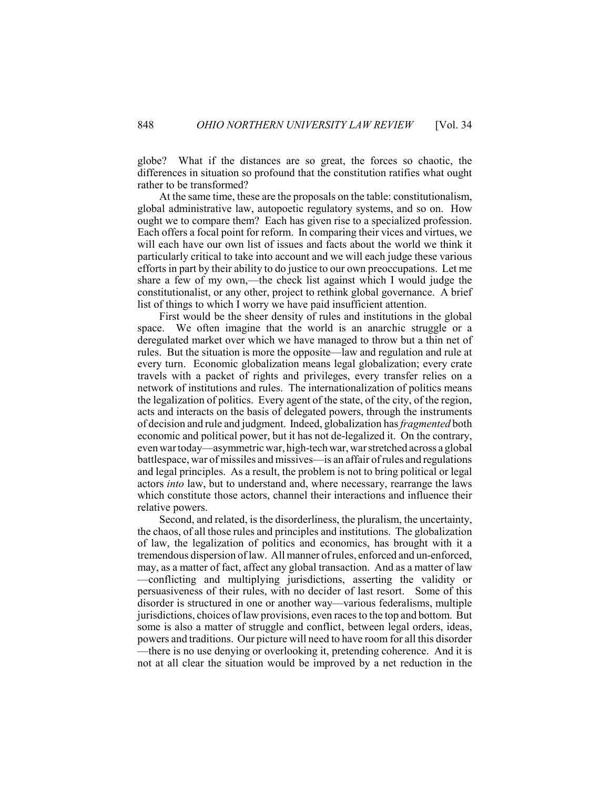globe? What if the distances are so great, the forces so chaotic, the differences in situation so profound that the constitution ratifies what ought rather to be transformed?

At the same time, these are the proposals on the table: constitutionalism, global administrative law, autopoetic regulatory systems, and so on. How ought we to compare them? Each has given rise to a specialized profession. Each offers a focal point for reform. In comparing their vices and virtues, we will each have our own list of issues and facts about the world we think it particularly critical to take into account and we will each judge these various efforts in part by their ability to do justice to our own preoccupations. Let me share a few of my own,—the check list against which I would judge the constitutionalist, or any other, project to rethink global governance. A brief list of things to which I worry we have paid insufficient attention.

First would be the sheer density of rules and institutions in the global space. We often imagine that the world is an anarchic struggle or a deregulated market over which we have managed to throw but a thin net of rules. But the situation is more the opposite—law and regulation and rule at every turn. Economic globalization means legal globalization; every crate travels with a packet of rights and privileges, every transfer relies on a network of institutions and rules. The internationalization of politics means the legalization of politics. Every agent of the state, of the city, of the region, acts and interacts on the basis of delegated powers, through the instruments of decision and rule and judgment. Indeed, globalization has *fragmented* both economic and political power, but it has not de-legalized it. On the contrary, even war today—asymmetric war, high-tech war, war stretched across a global battlespace, war of missiles and missives—is an affair of rules and regulations and legal principles. As a result, the problem is not to bring political or legal actors *into* law, but to understand and, where necessary, rearrange the laws which constitute those actors, channel their interactions and influence their relative powers.

Second, and related, is the disorderliness, the pluralism, the uncertainty, the chaos, of all those rules and principles and institutions. The globalization of law, the legalization of politics and economics, has brought with it a tremendous dispersion of law. All manner of rules, enforced and un-enforced, may, as a matter of fact, affect any global transaction. And as a matter of law —conflicting and multiplying jurisdictions, asserting the validity or persuasiveness of their rules, with no decider of last resort. Some of this disorder is structured in one or another way—various federalisms, multiple jurisdictions, choices of law provisions, even races to the top and bottom. But some is also a matter of struggle and conflict, between legal orders, ideas, powers and traditions. Our picture will need to have room for all this disorder —there is no use denying or overlooking it, pretending coherence. And it is not at all clear the situation would be improved by a net reduction in the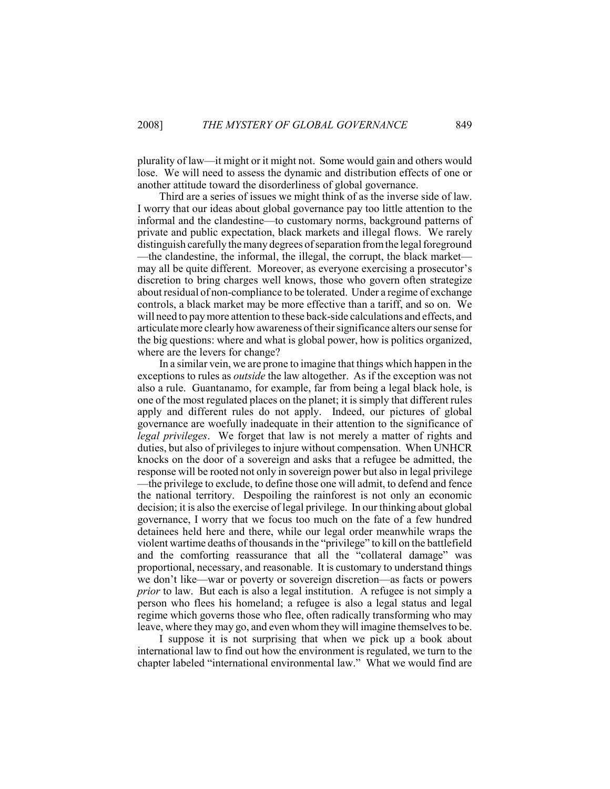plurality of law—it might or it might not. Some would gain and others would lose. We will need to assess the dynamic and distribution effects of one or another attitude toward the disorderliness of global governance.

Third are a series of issues we might think of as the inverse side of law. I worry that our ideas about global governance pay too little attention to the informal and the clandestine—to customary norms, background patterns of private and public expectation, black markets and illegal flows. We rarely distinguish carefully the many degrees of separation from the legal foreground —the clandestine, the informal, the illegal, the corrupt, the black market may all be quite different. Moreover, as everyone exercising a prosecutor's discretion to bring charges well knows, those who govern often strategize about residual of non-compliance to be tolerated. Under a regime of exchange controls, a black market may be more effective than a tariff, and so on. We will need to pay more attention to these back-side calculations and effects, and articulate more clearly how awareness of their significance alters our sense for the big questions: where and what is global power, how is politics organized, where are the levers for change?

In a similar vein, we are prone to imagine that things which happen in the exceptions to rules as *outside* the law altogether. As if the exception was not also a rule. Guantanamo, for example, far from being a legal black hole, is one of the most regulated places on the planet; it is simply that different rules apply and different rules do not apply. Indeed, our pictures of global governance are woefully inadequate in their attention to the significance of *legal privileges*. We forget that law is not merely a matter of rights and duties, but also of privileges to injure without compensation. When UNHCR knocks on the door of a sovereign and asks that a refugee be admitted, the response will be rooted not only in sovereign power but also in legal privilege —the privilege to exclude, to define those one will admit, to defend and fence the national territory. Despoiling the rainforest is not only an economic decision; it is also the exercise of legal privilege. In our thinking about global governance, I worry that we focus too much on the fate of a few hundred detainees held here and there, while our legal order meanwhile wraps the violent wartime deaths of thousands in the "privilege" to kill on the battlefield and the comforting reassurance that all the "collateral damage" was proportional, necessary, and reasonable. It is customary to understand things we don't like—war or poverty or sovereign discretion—as facts or powers *prior* to law. But each is also a legal institution. A refugee is not simply a person who flees his homeland; a refugee is also a legal status and legal regime which governs those who flee, often radically transforming who may leave, where they may go, and even whom they will imagine themselves to be.

I suppose it is not surprising that when we pick up a book about international law to find out how the environment is regulated, we turn to the chapter labeled "international environmental law." What we would find are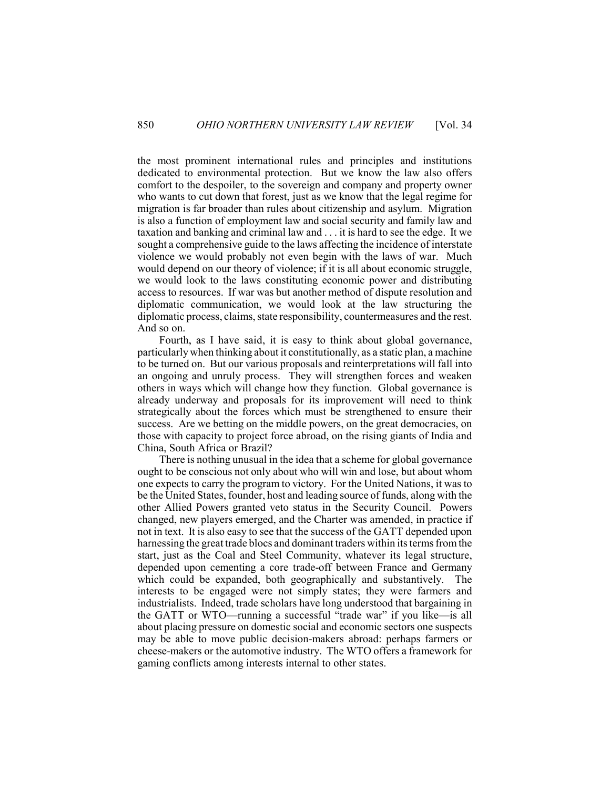the most prominent international rules and principles and institutions dedicated to environmental protection. But we know the law also offers comfort to the despoiler, to the sovereign and company and property owner who wants to cut down that forest, just as we know that the legal regime for migration is far broader than rules about citizenship and asylum. Migration is also a function of employment law and social security and family law and taxation and banking and criminal law and . . . it is hard to see the edge. It we sought a comprehensive guide to the laws affecting the incidence of interstate violence we would probably not even begin with the laws of war. Much would depend on our theory of violence; if it is all about economic struggle, we would look to the laws constituting economic power and distributing access to resources. If war was but another method of dispute resolution and diplomatic communication, we would look at the law structuring the diplomatic process, claims, state responsibility, countermeasures and the rest. And so on.

Fourth, as I have said, it is easy to think about global governance, particularly when thinking about it constitutionally, as a static plan, a machine to be turned on. But our various proposals and reinterpretations will fall into an ongoing and unruly process. They will strengthen forces and weaken others in ways which will change how they function. Global governance is already underway and proposals for its improvement will need to think strategically about the forces which must be strengthened to ensure their success. Are we betting on the middle powers, on the great democracies, on those with capacity to project force abroad, on the rising giants of India and China, South Africa or Brazil?

There is nothing unusual in the idea that a scheme for global governance ought to be conscious not only about who will win and lose, but about whom one expects to carry the program to victory. For the United Nations, it was to be the United States, founder, host and leading source of funds, along with the other Allied Powers granted veto status in the Security Council. Powers changed, new players emerged, and the Charter was amended, in practice if not in text. It is also easy to see that the success of the GATT depended upon harnessing the great trade blocs and dominant traders within its terms from the start, just as the Coal and Steel Community, whatever its legal structure, depended upon cementing a core trade-off between France and Germany which could be expanded, both geographically and substantively. The interests to be engaged were not simply states; they were farmers and industrialists. Indeed, trade scholars have long understood that bargaining in the GATT or WTO—running a successful "trade war" if you like—is all about placing pressure on domestic social and economic sectors one suspects may be able to move public decision-makers abroad: perhaps farmers or cheese-makers or the automotive industry. The WTO offers a framework for gaming conflicts among interests internal to other states.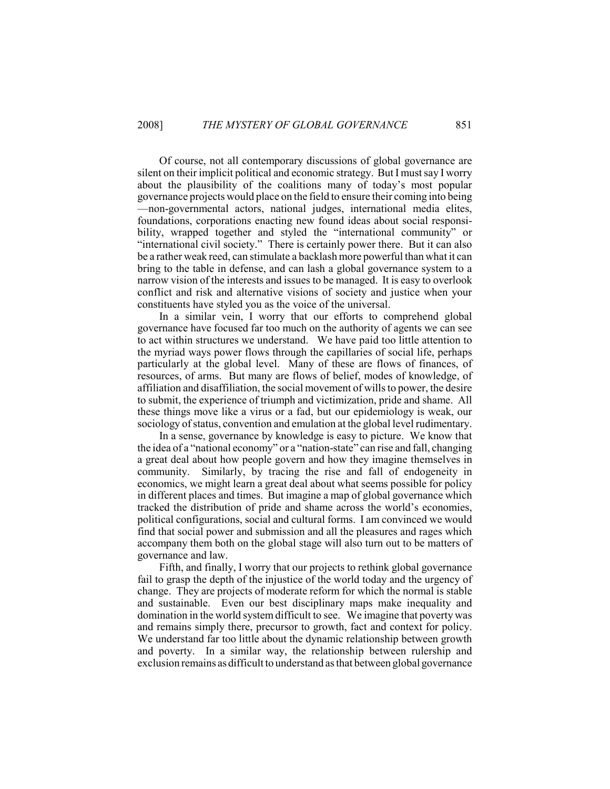Of course, not all contemporary discussions of global governance are silent on their implicit political and economic strategy. But I must say I worry about the plausibility of the coalitions many of today's most popular governance projects would place on the field to ensure their coming into being —non-governmental actors, national judges, international media elites, foundations, corporations enacting new found ideas about social responsibility, wrapped together and styled the "international community" or "international civil society." There is certainly power there. But it can also be a rather weak reed, can stimulate a backlash more powerful than what it can bring to the table in defense, and can lash a global governance system to a narrow vision of the interests and issues to be managed. It is easy to overlook conflict and risk and alternative visions of society and justice when your constituents have styled you as the voice of the universal.

In a similar vein, I worry that our efforts to comprehend global governance have focused far too much on the authority of agents we can see to act within structures we understand. We have paid too little attention to the myriad ways power flows through the capillaries of social life, perhaps particularly at the global level. Many of these are flows of finances, of resources, of arms. But many are flows of belief, modes of knowledge, of affiliation and disaffiliation, the social movement of wills to power, the desire to submit, the experience of triumph and victimization, pride and shame. All these things move like a virus or a fad, but our epidemiology is weak, our sociology of status, convention and emulation at the global level rudimentary.

In a sense, governance by knowledge is easy to picture. We know that the idea of a "national economy" or a "nation-state" can rise and fall, changing a great deal about how people govern and how they imagine themselves in community. Similarly, by tracing the rise and fall of endogeneity in economics, we might learn a great deal about what seems possible for policy in different places and times. But imagine a map of global governance which tracked the distribution of pride and shame across the world's economies, political configurations, social and cultural forms. I am convinced we would find that social power and submission and all the pleasures and rages which accompany them both on the global stage will also turn out to be matters of governance and law.

Fifth, and finally, I worry that our projects to rethink global governance fail to grasp the depth of the injustice of the world today and the urgency of change. They are projects of moderate reform for which the normal is stable and sustainable. Even our best disciplinary maps make inequality and domination in the world system difficult to see. We imagine that poverty was and remains simply there, precursor to growth, fact and context for policy. We understand far too little about the dynamic relationship between growth and poverty. In a similar way, the relationship between rulership and exclusion remains as difficult to understand as that between global governance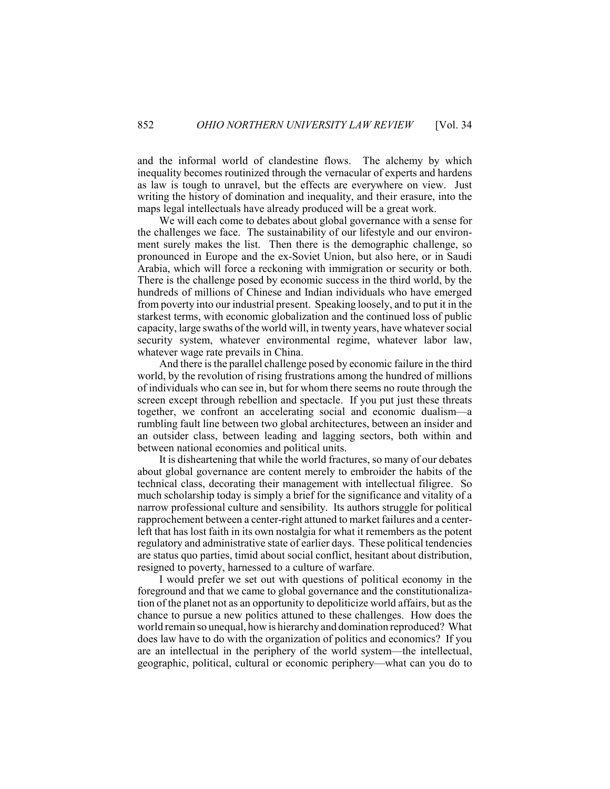and the informal world of clandestine flows. The alchemy by which inequality becomes routinized through the vernacular of experts and hardens as law is tough to unravel, but the effects are everywhere on view. Just writing the history of domination and inequality, and their erasure, into the maps legal intellectuals have already produced will be a great work.

We will each come to debates about global governance with a sense for the challenges we face. The sustainability of our lifestyle and our environment surely makes the list. Then there is the demographic challenge, so pronounced in Europe and the ex-Soviet Union, but also here, or in Saudi Arabia, which will force a reckoning with immigration or security or both. There is the challenge posed by economic success in the third world, by the hundreds of millions of Chinese and Indian individuals who have emerged from poverty into our industrial present. Speaking loosely, and to put it in the starkest terms, with economic globalization and the continued loss of public capacity, large swaths of the world will, in twenty years, have whatever social security system, whatever environmental regime, whatever labor law, whatever wage rate prevails in China.

And there is the parallel challenge posed by economic failure in the third world, by the revolution of rising frustrations among the hundred of millions of individuals who can see in, but for whom there seems no route through the screen except through rebellion and spectacle. If you put just these threats together, we confront an accelerating social and economic dualism—a rumbling fault line between two global architectures, between an insider and an outsider class, between leading and lagging sectors, both within and between national economies and political units.

It is disheartening that while the world fractures, so many of our debates about global governance are content merely to embroider the habits of the technical class, decorating their management with intellectual filigree. So much scholarship today is simply a brief for the significance and vitality of a narrow professional culture and sensibility. Its authors struggle for political rapprochement between a center-right attuned to market failures and a centerleft that has lost faith in its own nostalgia for what it remembers as the potent regulatory and administrative state of earlier days. These political tendencies are status quo parties, timid about social conflict, hesitant about distribution, resigned to poverty, harnessed to a culture of warfare.

I would prefer we set out with questions of political economy in the foreground and that we came to global governance and the constitutionalization of the planet not as an opportunity to depoliticize world affairs, but as the chance to pursue a new politics attuned to these challenges. How does the world remain so unequal, how is hierarchy and domination reproduced? What does law have to do with the organization of politics and economics? If you are an intellectual in the periphery of the world system—the intellectual, geographic, political, cultural or economic periphery—what can you do to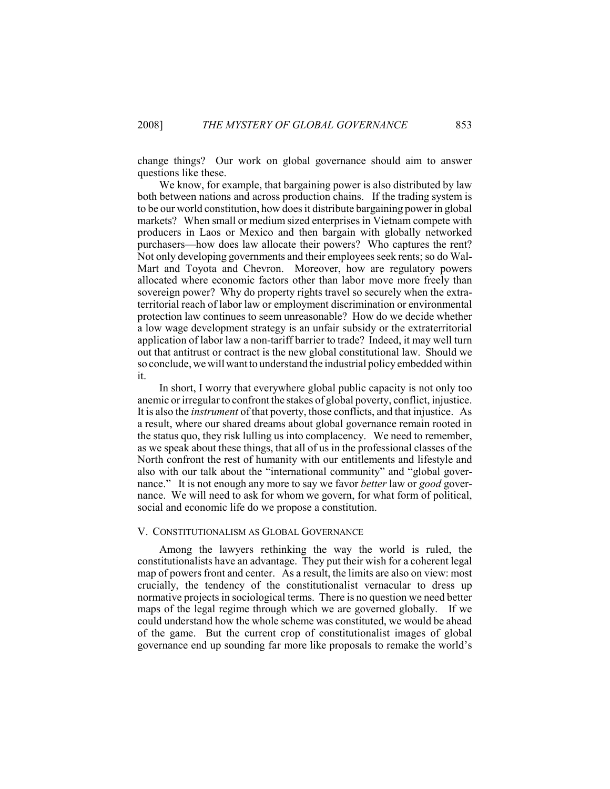change things? Our work on global governance should aim to answer questions like these.

We know, for example, that bargaining power is also distributed by law both between nations and across production chains. If the trading system is to be our world constitution, how does it distribute bargaining power in global markets? When small or medium sized enterprises in Vietnam compete with producers in Laos or Mexico and then bargain with globally networked purchasers—how does law allocate their powers? Who captures the rent? Not only developing governments and their employees seek rents; so do Wal-Mart and Toyota and Chevron. Moreover, how are regulatory powers allocated where economic factors other than labor move more freely than sovereign power? Why do property rights travel so securely when the extraterritorial reach of labor law or employment discrimination or environmental protection law continues to seem unreasonable? How do we decide whether a low wage development strategy is an unfair subsidy or the extraterritorial application of labor law a non-tariff barrier to trade? Indeed, it may well turn out that antitrust or contract is the new global constitutional law. Should we so conclude, we will want to understand the industrial policy embedded within it.

In short, I worry that everywhere global public capacity is not only too anemic or irregular to confront the stakes of global poverty, conflict, injustice. It is also the *instrument* of that poverty, those conflicts, and that injustice. As a result, where our shared dreams about global governance remain rooted in the status quo, they risk lulling us into complacency. We need to remember, as we speak about these things, that all of us in the professional classes of the North confront the rest of humanity with our entitlements and lifestyle and also with our talk about the "international community" and "global governance." It is not enough any more to say we favor *better* law or *good* governance. We will need to ask for whom we govern, for what form of political, social and economic life do we propose a constitution.

#### V. CONSTITUTIONALISM AS GLOBAL GOVERNANCE

Among the lawyers rethinking the way the world is ruled, the constitutionalists have an advantage. They put their wish for a coherent legal map of powers front and center. As a result, the limits are also on view: most crucially, the tendency of the constitutionalist vernacular to dress up normative projects in sociological terms. There is no question we need better maps of the legal regime through which we are governed globally. If we could understand how the whole scheme was constituted, we would be ahead of the game. But the current crop of constitutionalist images of global governance end up sounding far more like proposals to remake the world's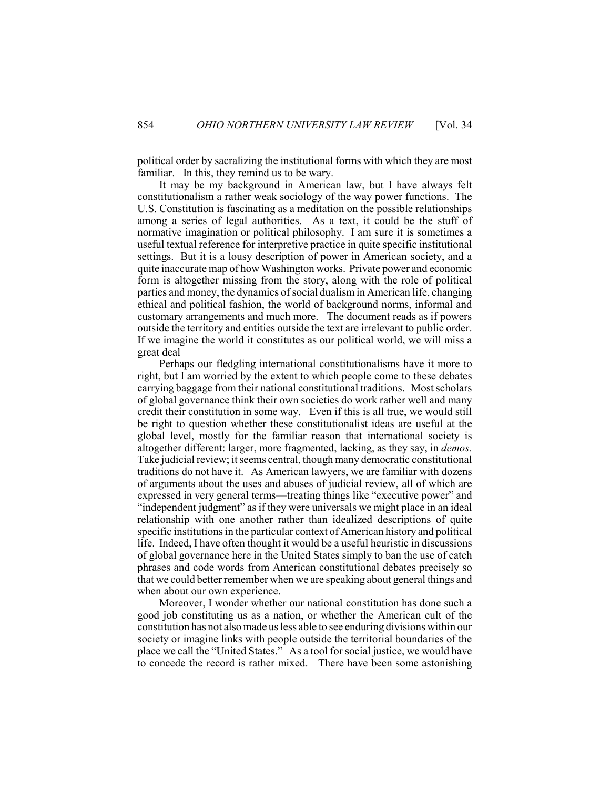political order by sacralizing the institutional forms with which they are most familiar. In this, they remind us to be wary.

It may be my background in American law, but I have always felt constitutionalism a rather weak sociology of the way power functions. The U.S. Constitution is fascinating as a meditation on the possible relationships among a series of legal authorities. As a text, it could be the stuff of normative imagination or political philosophy. I am sure it is sometimes a useful textual reference for interpretive practice in quite specific institutional settings. But it is a lousy description of power in American society, and a quite inaccurate map of how Washington works. Private power and economic form is altogether missing from the story, along with the role of political parties and money, the dynamics of social dualism in American life, changing ethical and political fashion, the world of background norms, informal and customary arrangements and much more. The document reads as if powers outside the territory and entities outside the text are irrelevant to public order. If we imagine the world it constitutes as our political world, we will miss a great deal

Perhaps our fledgling international constitutionalisms have it more to right, but I am worried by the extent to which people come to these debates carrying baggage from their national constitutional traditions. Most scholars of global governance think their own societies do work rather well and many credit their constitution in some way. Even if this is all true, we would still be right to question whether these constitutionalist ideas are useful at the global level, mostly for the familiar reason that international society is altogether different: larger, more fragmented, lacking, as they say, in *demos.* Take judicial review; it seems central, though many democratic constitutional traditions do not have it. As American lawyers, we are familiar with dozens of arguments about the uses and abuses of judicial review, all of which are expressed in very general terms—treating things like "executive power" and "independent judgment" as if they were universals we might place in an ideal relationship with one another rather than idealized descriptions of quite specific institutions in the particular context of American history and political life. Indeed, I have often thought it would be a useful heuristic in discussions of global governance here in the United States simply to ban the use of catch phrases and code words from American constitutional debates precisely so that we could better remember when we are speaking about general things and when about our own experience.

Moreover, I wonder whether our national constitution has done such a good job constituting us as a nation, or whether the American cult of the constitution has not also made us less able to see enduring divisions within our society or imagine links with people outside the territorial boundaries of the place we call the "United States." As a tool for social justice, we would have to concede the record is rather mixed. There have been some astonishing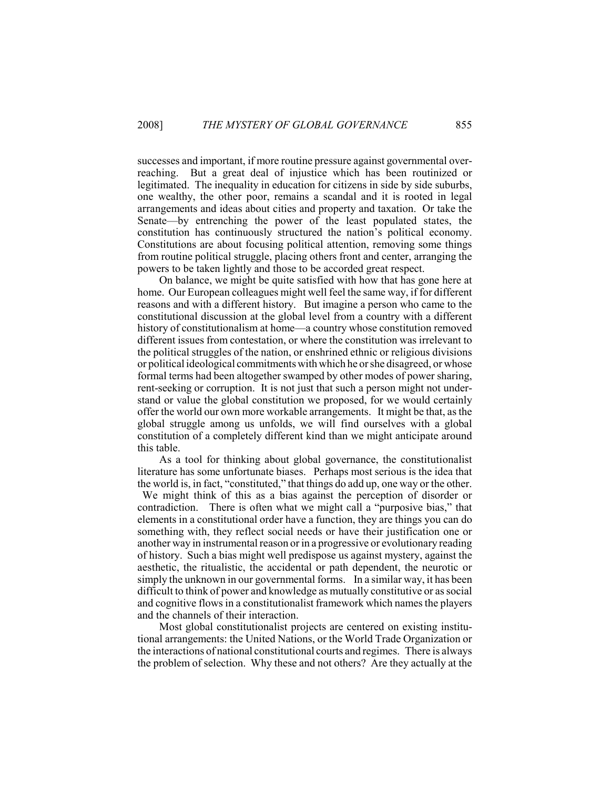successes and important, if more routine pressure against governmental overreaching. But a great deal of injustice which has been routinized or legitimated. The inequality in education for citizens in side by side suburbs, one wealthy, the other poor, remains a scandal and it is rooted in legal arrangements and ideas about cities and property and taxation. Or take the Senate—by entrenching the power of the least populated states, the constitution has continuously structured the nation's political economy. Constitutions are about focusing political attention, removing some things from routine political struggle, placing others front and center, arranging the powers to be taken lightly and those to be accorded great respect.

On balance, we might be quite satisfied with how that has gone here at home. Our European colleagues might well feel the same way, if for different reasons and with a different history. But imagine a person who came to the constitutional discussion at the global level from a country with a different history of constitutionalism at home—a country whose constitution removed different issues from contestation, or where the constitution was irrelevant to the political struggles of the nation, or enshrined ethnic or religious divisions or political ideological commitments with which he or she disagreed, or whose formal terms had been altogether swamped by other modes of power sharing, rent-seeking or corruption. It is not just that such a person might not understand or value the global constitution we proposed, for we would certainly offer the world our own more workable arrangements. It might be that, as the global struggle among us unfolds, we will find ourselves with a global constitution of a completely different kind than we might anticipate around this table.

As a tool for thinking about global governance, the constitutionalist literature has some unfortunate biases. Perhaps most serious is the idea that the world is, in fact, "constituted," that things do add up, one way or the other. We might think of this as a bias against the perception of disorder or contradiction. There is often what we might call a "purposive bias," that elements in a constitutional order have a function, they are things you can do something with, they reflect social needs or have their justification one or another way in instrumental reason or in a progressive or evolutionary reading of history. Such a bias might well predispose us against mystery, against the aesthetic, the ritualistic, the accidental or path dependent, the neurotic or simply the unknown in our governmental forms. In a similar way, it has been difficult to think of power and knowledge as mutually constitutive or as social and cognitive flows in a constitutionalist framework which names the players and the channels of their interaction.

Most global constitutionalist projects are centered on existing institutional arrangements: the United Nations, or the World Trade Organization or the interactions of national constitutional courts and regimes. There is always the problem of selection. Why these and not others? Are they actually at the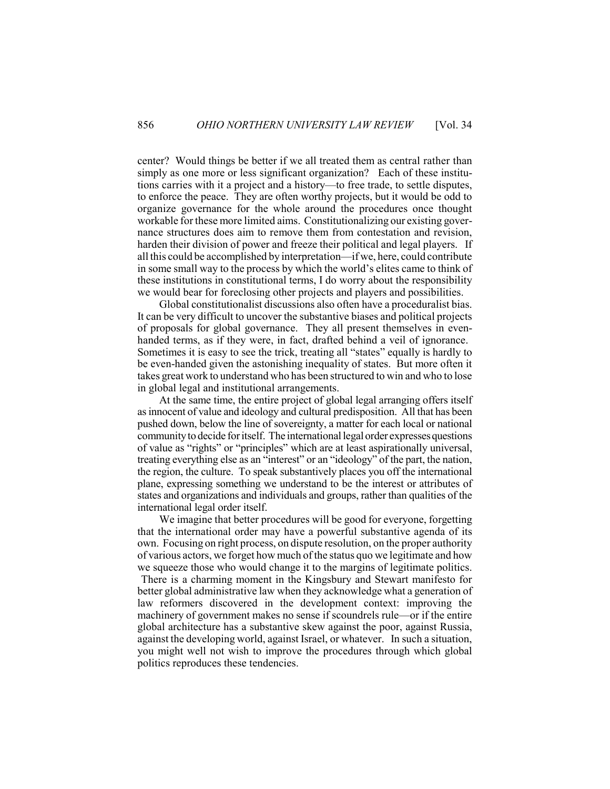center? Would things be better if we all treated them as central rather than simply as one more or less significant organization? Each of these institutions carries with it a project and a history—to free trade, to settle disputes, to enforce the peace. They are often worthy projects, but it would be odd to organize governance for the whole around the procedures once thought workable for these more limited aims. Constitutionalizing our existing governance structures does aim to remove them from contestation and revision, harden their division of power and freeze their political and legal players. If all this could be accomplished by interpretation—if we, here, could contribute in some small way to the process by which the world's elites came to think of these institutions in constitutional terms, I do worry about the responsibility we would bear for foreclosing other projects and players and possibilities.

Global constitutionalist discussions also often have a proceduralist bias. It can be very difficult to uncover the substantive biases and political projects of proposals for global governance. They all present themselves in evenhanded terms, as if they were, in fact, drafted behind a veil of ignorance. Sometimes it is easy to see the trick, treating all "states" equally is hardly to be even-handed given the astonishing inequality of states. But more often it takes great work to understand who has been structured to win and who to lose in global legal and institutional arrangements.

At the same time, the entire project of global legal arranging offers itself as innocent of value and ideology and cultural predisposition. All that has been pushed down, below the line of sovereignty, a matter for each local or national community to decide for itself. The international legal order expresses questions of value as "rights" or "principles" which are at least aspirationally universal, treating everything else as an "interest" or an "ideology" of the part, the nation, the region, the culture. To speak substantively places you off the international plane, expressing something we understand to be the interest or attributes of states and organizations and individuals and groups, rather than qualities of the international legal order itself.

We imagine that better procedures will be good for everyone, forgetting that the international order may have a powerful substantive agenda of its own. Focusing on right process, on dispute resolution, on the proper authority of various actors, we forget how much of the status quo we legitimate and how we squeeze those who would change it to the margins of legitimate politics. There is a charming moment in the Kingsbury and Stewart manifesto for better global administrative law when they acknowledge what a generation of law reformers discovered in the development context: improving the machinery of government makes no sense if scoundrels rule—or if the entire global architecture has a substantive skew against the poor, against Russia, against the developing world, against Israel, or whatever. In such a situation, you might well not wish to improve the procedures through which global

politics reproduces these tendencies.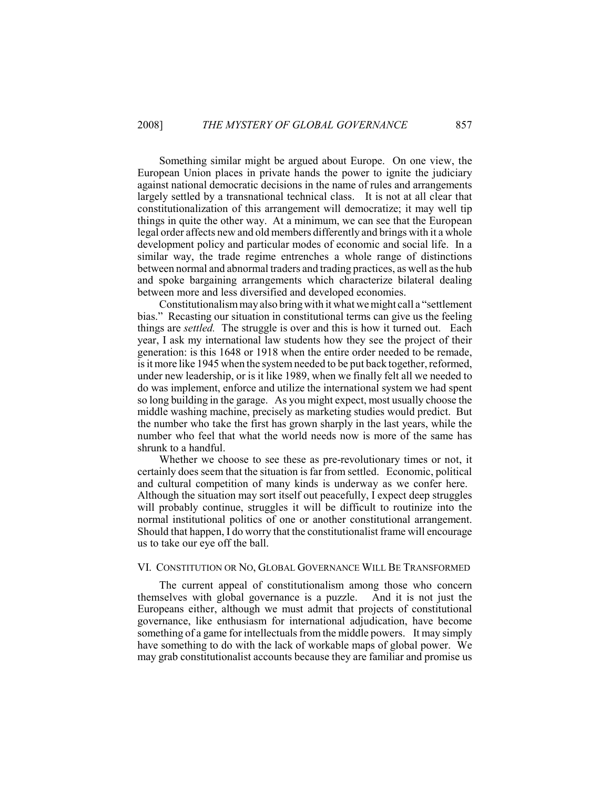Something similar might be argued about Europe. On one view, the European Union places in private hands the power to ignite the judiciary against national democratic decisions in the name of rules and arrangements largely settled by a transnational technical class. It is not at all clear that constitutionalization of this arrangement will democratize; it may well tip things in quite the other way. At a minimum, we can see that the European legal order affects new and old members differently and brings with it a whole development policy and particular modes of economic and social life. In a similar way, the trade regime entrenches a whole range of distinctions between normal and abnormal traders and trading practices, as well as the hub and spoke bargaining arrangements which characterize bilateral dealing between more and less diversified and developed economies.

Constitutionalism may also bring with it what we might call a "settlement bias." Recasting our situation in constitutional terms can give us the feeling things are *settled.* The struggle is over and this is how it turned out. Each year, I ask my international law students how they see the project of their generation: is this 1648 or 1918 when the entire order needed to be remade, is it more like 1945 when the system needed to be put back together, reformed, under new leadership, or is it like 1989, when we finally felt all we needed to do was implement, enforce and utilize the international system we had spent so long building in the garage. As you might expect, most usually choose the middle washing machine, precisely as marketing studies would predict. But the number who take the first has grown sharply in the last years, while the number who feel that what the world needs now is more of the same has shrunk to a handful.

Whether we choose to see these as pre-revolutionary times or not, it certainly does seem that the situation is far from settled. Economic, political and cultural competition of many kinds is underway as we confer here. Although the situation may sort itself out peacefully, I expect deep struggles will probably continue, struggles it will be difficult to routinize into the normal institutional politics of one or another constitutional arrangement. Should that happen, I do worry that the constitutionalist frame will encourage us to take our eye off the ball.

#### VI. CONSTITUTION OR NO, GLOBAL GOVERNANCE WILL BE TRANSFORMED

The current appeal of constitutionalism among those who concern themselves with global governance is a puzzle. And it is not just the Europeans either, although we must admit that projects of constitutional governance, like enthusiasm for international adjudication, have become something of a game for intellectuals from the middle powers. It may simply have something to do with the lack of workable maps of global power. We may grab constitutionalist accounts because they are familiar and promise us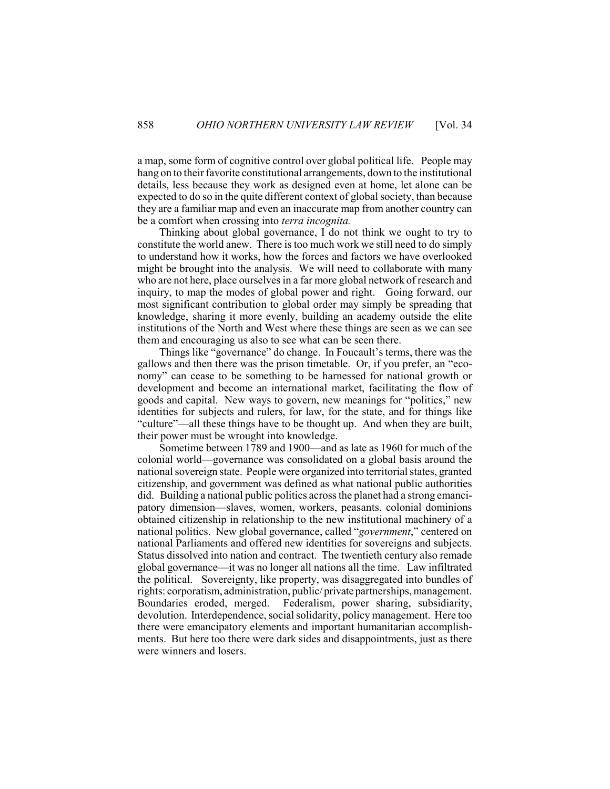a map, some form of cognitive control over global political life. People may hang on to their favorite constitutional arrangements, down to the institutional details, less because they work as designed even at home, let alone can be expected to do so in the quite different context of global society, than because they are a familiar map and even an inaccurate map from another country can be a comfort when crossing into *terra incognita.*

Thinking about global governance, I do not think we ought to try to constitute the world anew. There is too much work we still need to do simply to understand how it works, how the forces and factors we have overlooked might be brought into the analysis. We will need to collaborate with many who are not here, place ourselves in a far more global network of research and inquiry, to map the modes of global power and right. Going forward, our most significant contribution to global order may simply be spreading that knowledge, sharing it more evenly, building an academy outside the elite institutions of the North and West where these things are seen as we can see them and encouraging us also to see what can be seen there.

Things like "governance" do change. In Foucault's terms, there was the gallows and then there was the prison timetable. Or, if you prefer, an "economy" can cease to be something to be harnessed for national growth or development and become an international market, facilitating the flow of goods and capital. New ways to govern, new meanings for "politics," new identities for subjects and rulers, for law, for the state, and for things like "culture"—all these things have to be thought up. And when they are built, their power must be wrought into knowledge.

Sometime between 1789 and 1900—and as late as 1960 for much of the colonial world—governance was consolidated on a global basis around the national sovereign state. People were organized into territorial states, granted citizenship, and government was defined as what national public authorities did. Building a national public politics across the planet had a strong emancipatory dimension—slaves, women, workers, peasants, colonial dominions obtained citizenship in relationship to the new institutional machinery of a national politics. New global governance, called "*government*," centered on national Parliaments and offered new identities for sovereigns and subjects. Status dissolved into nation and contract. The twentieth century also remade global governance—it was no longer all nations all the time. Law infiltrated the political. Sovereignty, like property, was disaggregated into bundles of rights: corporatism, administration, public/ private partnerships, management. Boundaries eroded, merged. Federalism, power sharing, subsidiarity, devolution. Interdependence, social solidarity, policy management. Here too there were emancipatory elements and important humanitarian accomplishments. But here too there were dark sides and disappointments, just as there were winners and losers.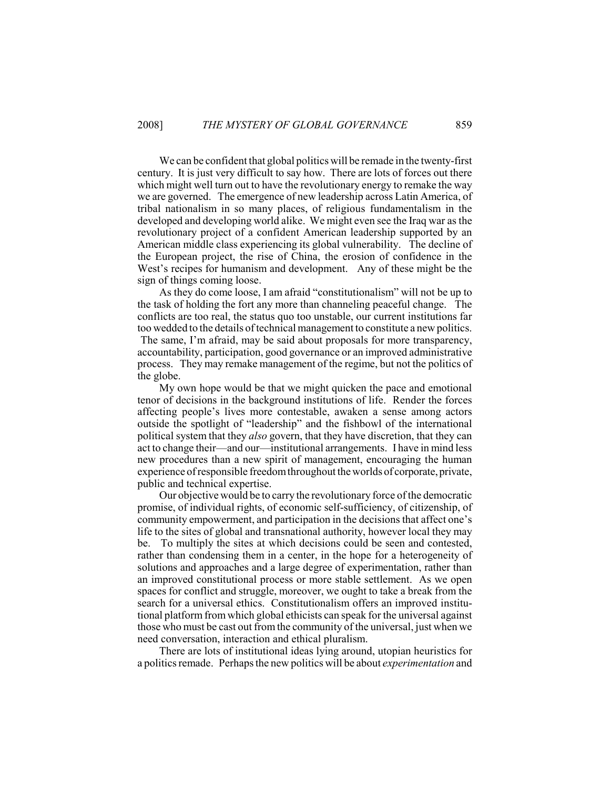We can be confident that global politics will be remade in the twenty-first century. It is just very difficult to say how. There are lots of forces out there which might well turn out to have the revolutionary energy to remake the way we are governed. The emergence of new leadership across Latin America, of tribal nationalism in so many places, of religious fundamentalism in the developed and developing world alike. We might even see the Iraq war as the revolutionary project of a confident American leadership supported by an American middle class experiencing its global vulnerability. The decline of the European project, the rise of China, the erosion of confidence in the West's recipes for humanism and development. Any of these might be the sign of things coming loose.

As they do come loose, I am afraid "constitutionalism" will not be up to the task of holding the fort any more than channeling peaceful change. The conflicts are too real, the status quo too unstable, our current institutions far too wedded to the details of technical management to constitute a new politics. The same, I'm afraid, may be said about proposals for more transparency, accountability, participation, good governance or an improved administrative process. They may remake management of the regime, but not the politics of the globe.

My own hope would be that we might quicken the pace and emotional tenor of decisions in the background institutions of life. Render the forces affecting people's lives more contestable, awaken a sense among actors outside the spotlight of "leadership" and the fishbowl of the international political system that they *also* govern, that they have discretion, that they can act to change their—and our—institutional arrangements. I have in mind less new procedures than a new spirit of management, encouraging the human experience of responsible freedom throughout the worlds of corporate, private, public and technical expertise.

Our objective would be to carry the revolutionary force of the democratic promise, of individual rights, of economic self-sufficiency, of citizenship, of community empowerment, and participation in the decisions that affect one's life to the sites of global and transnational authority, however local they may be. To multiply the sites at which decisions could be seen and contested, rather than condensing them in a center, in the hope for a heterogeneity of solutions and approaches and a large degree of experimentation, rather than an improved constitutional process or more stable settlement. As we open spaces for conflict and struggle, moreover, we ought to take a break from the search for a universal ethics. Constitutionalism offers an improved institutional platform from which global ethicists can speak for the universal against those who must be cast out from the community of the universal, just when we need conversation, interaction and ethical pluralism.

There are lots of institutional ideas lying around, utopian heuristics for a politics remade. Perhaps the new politics will be about *experimentation* and